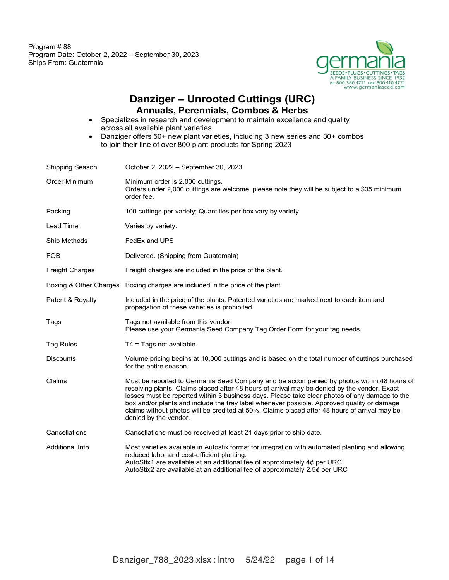

#### **Danziger – Unrooted Cuttings (URC) Annuals, Perennials, Combos & Herbs**

- Specializes in research and development to maintain excellence and quality across all available plant varieties
- Danziger offers 50+ new plant varieties, including 3 new series and 30+ combos to join their line of over 800 plant products for Spring 2023

| Shipping Season        | October 2, 2022 - September 30, 2023                                                                                                                                                                                                                                                                                                                                                                                                                                                                               |
|------------------------|--------------------------------------------------------------------------------------------------------------------------------------------------------------------------------------------------------------------------------------------------------------------------------------------------------------------------------------------------------------------------------------------------------------------------------------------------------------------------------------------------------------------|
| Order Minimum          | Minimum order is 2,000 cuttings.<br>Orders under 2,000 cuttings are welcome, please note they will be subject to a \$35 minimum<br>order fee.                                                                                                                                                                                                                                                                                                                                                                      |
| Packing                | 100 cuttings per variety; Quantities per box vary by variety.                                                                                                                                                                                                                                                                                                                                                                                                                                                      |
| Lead Time              | Varies by variety.                                                                                                                                                                                                                                                                                                                                                                                                                                                                                                 |
| Ship Methods           | FedEx and UPS                                                                                                                                                                                                                                                                                                                                                                                                                                                                                                      |
| <b>FOB</b>             | Delivered. (Shipping from Guatemala)                                                                                                                                                                                                                                                                                                                                                                                                                                                                               |
| <b>Freight Charges</b> | Freight charges are included in the price of the plant.                                                                                                                                                                                                                                                                                                                                                                                                                                                            |
| Boxing & Other Charges | Boxing charges are included in the price of the plant.                                                                                                                                                                                                                                                                                                                                                                                                                                                             |
| Patent & Royalty       | Included in the price of the plants. Patented varieties are marked next to each item and<br>propagation of these varieties is prohibited.                                                                                                                                                                                                                                                                                                                                                                          |
| Tags                   | Tags not available from this vendor.<br>Please use your Germania Seed Company Tag Order Form for your tag needs.                                                                                                                                                                                                                                                                                                                                                                                                   |
| <b>Tag Rules</b>       | $T4 = Tags not available.$                                                                                                                                                                                                                                                                                                                                                                                                                                                                                         |
| <b>Discounts</b>       | Volume pricing begins at 10,000 cuttings and is based on the total number of cuttings purchased<br>for the entire season.                                                                                                                                                                                                                                                                                                                                                                                          |
| Claims                 | Must be reported to Germania Seed Company and be accompanied by photos within 48 hours of<br>receiving plants. Claims placed after 48 hours of arrival may be denied by the vendor. Exact<br>losses must be reported within 3 business days. Please take clear photos of any damage to the<br>box and/or plants and include the tray label whenever possible. Approved quality or damage<br>claims without photos will be credited at 50%. Claims placed after 48 hours of arrival may be<br>denied by the vendor. |
| Cancellations          | Cancellations must be received at least 21 days prior to ship date.                                                                                                                                                                                                                                                                                                                                                                                                                                                |
| <b>Additional Info</b> | Most varieties available in Autostix format for integration with automated planting and allowing<br>reduced labor and cost-efficient planting.<br>AutoStix1 are available at an additional fee of approximately $4¢$ per URC<br>AutoStix2 are available at an additional fee of approximately 2.5¢ per URC                                                                                                                                                                                                         |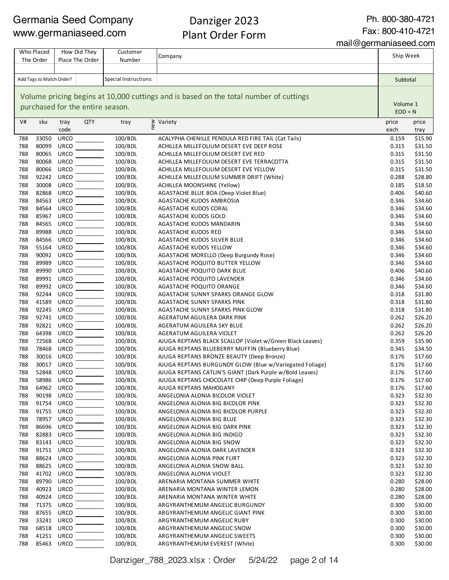## Danziger 2023 Plant Order Form

Ph. 800-380-4721

Fax: 800-410-4721

mail@germaniaseed.com

Company V# sku tray code QTY trav  $\sum_{n=1}^{\infty}$  Variety price each price tray 33050 URCO 100/BDL ACALYPHA CHENILLE PENDULA RED FIRE TAIL (Cat Tails) 0.159 \$15.90 80099 URCO 100/BDL ACHILLEA MILLEFOLIUM DESERT EVE DEEP ROSE 0.315 \$31.50 80065 URCO 100/BDL ACHILLEA MILLEFOLIUM DESERT EVE RED 0.315 \$31.50 788 80068 URCO 100/BDL ACHILLEA MILLEFOLIUM DESERT EVE TERRACOTTA 0.315 \$31.50 80066 URCO 100/BDL ACHILLEA MILLEFOLIUM DESERT EVE YELLOW 0.315 \$31.50 92242 URCO 100/BDL ACHILLEA MILLEFOLIUM SUMMER DRIFT (White) 0.288 \$28.80 30008 URCO 100/BDL ACHILLEA MOONSHINE (Yellow) 0.185 \$18.50 82868 URCO 100/BDL AGASTACHE BLUE BOA (Deep Violet Blue) 0.406 \$40.60 84563 URCO 100/BDL AGASTACHE KUDOS AMBROSIA 0.346 \$34.60 84564 URCO 100/BDL AGASTACHE KUDOS CORAL 0.346 \$34.60 85967 URCO 100/BDL AGASTACHE KUDOS GOLD 0.346 \$34.60 84565 URCO 100/BDL AGASTACHE KUDOS MANDARIN 0.346 \$34.60 89988 URCO 100/BDL AGASTACHE KUDOS RED 0.346 \$34.60 84566 URCO 100/BDL AGASTACHE KUDOS SILVER BLUE 0.346 \$34.60 55164 URCO 100/BDL AGASTACHE KUDOS YELLOW 0.346 \$34.60 90092 URCO 100/BDL AGASTACHE MORELLO (Deep Burgundy Rose) 0.346 \$34.60 89989 URCO 100/BDL AGASTACHE POQUITO BUTTER YELLOW 0.346 \$34.60 89990 URCO 100/BDL AGASTACHE POQUITO DARK BLUE 0.406 \$40.60 89991 URCO 100/BDL AGASTACHE POQUITO LAVENDER 0.346 \$34.60 89992 URCO 100/BDL AGASTACHE POQUITO ORANGE 0.346 \$34.60 92244 URCO 100/BDL AGASTACHE SUNNY SPARKS ORANGE GLOW 0.318 \$31.80 THE STRING CONTROLLETE SUNNY SPARKS PINK AGASTACHE SUNNY SPARKS PINK CONTROLLETE STRING ASSAULT ASSAULT ASSAULT ASSAULT ASSAULT ASSAULT ASSAULT ASSAULT ASSAULT ASSAULT ASSAULT ASSAULT ASSAULT ASSAULT ASSAULT ASSAULT ASSAUL THE STRING CONTROLLET A STRING AGASTACHE SUNNY SPARKS PINK GLOW CONTROLLET AGASTACHE SUNNY SPARKS PINK GLOW THE STRING COMPANY CONTROLLERT METHOD AGERATUM AGUILERA DARK PINK AND ARRIVE CONTROLLERING O.262 \$26.20 92821 URCO 100/BDL AGERATUM AGUILERA SKY BLUE 0.262 \$26.20 64398 URCO 100/BDL AGERATUM AGUILERA VIOLET 0.262 \$26.20 72568 URCO 100/BDL AJUGA REPTANS BLACK SCALLOP (Violet w/Green Black Leaves) 0.359 \$35.90 78468 URCO 100/BDL AJUGA REPTANS BLUEBERRY MUFFIN (Blueberry Blue) 0.345 \$34.50 30016 URCO 100/BDL AJUGA REPTANS BRONZE BEAUTY (Deep Bronze) 0.176 \$17.60 30017 URCO 100/BDL AJUGA REPTANS BURGUNDY GLOW (Blue w/Variegated Foliage) 0.176 \$17.60 52848 URCO 100/BDL AJUGA REPTANS CATLIN'S GIANT (Dark Purple w/Bold Leaves) 0.176 \$17.60 58986 URCO 100/BDL AJUGA REPTANS CHOCOLATE CHIP (Deep Purple Foliage) 0.176 \$17.60 64962 URCO 100/BDL AJUGA REPTANS MAHOGANY 0.176 \$17.60 90198 URCO 100/BDL ANGELONIA ALONIA BICOLOR VIOLET 0.323 \$32.30 91754 URCO 100/BDL ANGELONIA ALONIA BIG BICOLOR PINK 0.323 \$32.30 91755 URCO 100/BDL ANGELONIA ALONIA BIG BICOLOR PURPLE 0.323 \$32.30 78957 URCO 100/BDL ANGELONIA ALONIA BIG BLUE 0.323 \$32.30 86696 URCO 100/BDL ANGELONIA ALONIA BIG DARK PINK 0.323 \$32.30 82883 URCO 100/BDL ANGELONIA ALONIA BIG INDIGO 0.323 \$32.30 83143 URCO 100/BDL ANGELONIA ALONIA BIG SNOW 0.323 \$32.30 91751 URCO 100/BDL ANGELONIA ALONIA DARK LAVENDER 0.323 \$32.30 TREE 88624 URCO 100/BDL ANGELONIA ALONIA PINK FLIRT AND CONSERVED AND RESERVED ASSESSED ASSESSED AND A STREET 88625 URCO 100/BDL ANGELONIA ALONIA SNOW BALL 0.323 \$32.30 41702 URCO 100/BDL ANGELONIA ALONIA VIOLET 0.323 \$32.30 89790 URCO 100/BDL ARENARIA MONTANA SUMMER WHITE 0.280 \$28.00 40923 URCO 100/BDL ARENARIA MONTANA WINTER LEMON 0.280 \$28.00 40924 URCO 100/BDL ARENARIA MONTANA WINTER WHITE 0.280 \$28.00 71375 URCO 100/BDL ARGYRANTHEMUM ANGELIC BURGUNDY 0.300 \$30.00 87655 URCO 100/BDL ARGYRANTHEMUM ANGELIC GIANT PINK 0.300 \$30.00 33241 URCO 100/BDL ARGYRANTHEMUM ANGELIC RUBY 0.300 \$30.00 68518 URCO 100/BDL ARGYRANTHEMUM ANGELIC SNOW 0.300 \$30.00 41251 URCO 100/BDL ARGYRANTHEMUM ANGELIC SWEETS 0.300 \$30.00 85463 URCO 100/BDL ARGYRANTHEMUM EVEREST (White) 0.300 \$30.00 Volume pricing begins at 10,000 cuttings and is based on the total number of cuttings purchased for the entire season. Who Placed How Did They Customer Customer Company Communication and the Ship Week The Order How Did They Place The Order Customer Number Add Tags to Match Order? Special Instructions: Subtotal Instructions: Subtotal Instructions: Subtotal Instructions: Subtotal Instructions: Subtotal Instructions: Subtotal Instructions: Subtotal Instructions: Subtotal Instr Volume 1  $FOD = N$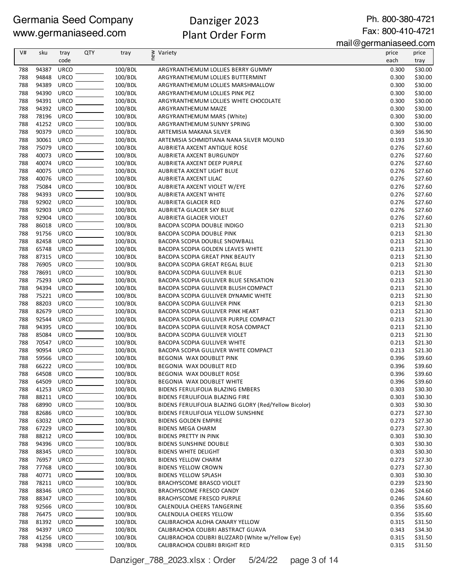# Danziger 2023 Plant Order Form

Ph. 800-380-4721 Fax: 800-410-4721

mail@germaniaseed.com

| V#         | sku            | tray                       | <b>QTY</b> | tray               | ≥ Variety<br>E                                                                      | price          | price              |
|------------|----------------|----------------------------|------------|--------------------|-------------------------------------------------------------------------------------|----------------|--------------------|
|            |                | code                       |            |                    |                                                                                     | each           | tray               |
| 788        | 94387          | <b>URCO</b>                |            | 100/BDL            | ARGYRANTHEMUM LOLLIES BERRY GUMMY                                                   | 0.300          | \$30.00            |
| 788        | 94848          | <b>URCO</b>                |            | 100/BDL            | ARGYRANTHEMUM LOLLIES BUTTERMINT                                                    | 0.300          | \$30.00            |
| 788        | 94389          | <b>URCO</b><br><b>URCO</b> |            | 100/BDL            | ARGYRANTHEMUM LOLLIES MARSHMALLOW                                                   | 0.300          | \$30.00            |
| 788<br>788 | 94390<br>94391 | <b>URCO</b>                |            | 100/BDL<br>100/BDL | ARGYRANTHEMUM LOLLIES PINK PEZ<br>ARGYRANTHEMUM LOLLIES WHITE CHOCOLATE             | 0.300<br>0.300 | \$30.00<br>\$30.00 |
| 788        | 94392          | <b>URCO</b>                |            | 100/BDL            | ARGYRANTHEMUM MAIZE                                                                 | 0.300          | \$30.00            |
| 788        | 78196          | <b>URCO</b>                |            | 100/BDL            | ARGYRANTHEMUM MARS (White)                                                          | 0.300          | \$30.00            |
| 788        | 41252          | <b>URCO</b>                |            | 100/BDL            | ARGYRANTHEMUM SUNNY SPRING                                                          | 0.300          | \$30.00            |
| 788        | 90379          | <b>URCO</b>                |            | 100/BDL            | ARTEMISIA MAKANA SILVER                                                             | 0.369          | \$36.90            |
| 788        | 30061          | <b>URCO</b>                |            | 100/BDL            | ARTEMISIA SCHMIDTIANA NANA SILVER MOUND                                             | 0.193          | \$19.30            |
| 788        | 75079          | <b>URCO</b>                |            | 100/BDL            | AUBRIETA AXCENT ANTIQUE ROSE                                                        | 0.276          | \$27.60            |
| 788        | 40073          | <b>URCO</b>                |            | 100/BDL            | AUBRIETA AXCENT BURGUNDY                                                            | 0.276          | \$27.60            |
| 788        | 40074          | <b>URCO</b>                |            | 100/BDL            | AUBRIETA AXCENT DEEP PURPLE                                                         | 0.276          | \$27.60            |
| 788<br>788 | 40075<br>40076 | <b>URCO</b>                |            | 100/BDL            | AUBRIETA AXCENT LIGHT BLUE                                                          | 0.276          | \$27.60            |
| 788        | 75084          | <b>URCO</b><br><b>URCO</b> |            | 100/BDL<br>100/BDL | AUBRIETA AXCENT LILAC<br>AUBRIETA AXCENT VIOLET W/EYE                               | 0.276<br>0.276 | \$27.60<br>\$27.60 |
| 788        | 94393          | <b>URCO</b>                |            | 100/BDL            | AUBRIETA AXCENT WHITE                                                               | 0.276          | \$27.60            |
| 788        | 92902          | <b>URCO</b>                |            | 100/BDL            | AUBRIETA GLACIER RED                                                                | 0.276          | \$27.60            |
| 788        | 92903          | <b>URCO</b>                |            | 100/BDL            | AUBRIETA GLACIER SKY BLUE                                                           | 0.276          | \$27.60            |
| 788        | 92904          | <b>URCO</b>                |            | 100/BDL            | AUBRIETA GLACIER VIOLET                                                             | 0.276          | \$27.60            |
| 788        | 86018          | <b>URCO</b>                |            | 100/BDL            | BACOPA SCOPIA DOUBLE INDIGO                                                         | 0.213          | \$21.30            |
| 788        | 91756          | <b>URCO</b>                |            | 100/BDL            | <b>BACOPA SCOPIA DOUBLE PINK</b>                                                    | 0.213          | \$21.30            |
| 788        | 82458          | <b>URCO</b>                |            | 100/BDL            | BACOPA SCOPIA DOUBLE SNOWBALL                                                       | 0.213          | \$21.30            |
| 788        | 65748          | <b>URCO</b>                |            | 100/BDL            | BACOPA SCOPIA GOLDEN LEAVES WHITE                                                   | 0.213          | \$21.30            |
| 788        | 87315          | <b>URCO</b>                |            | 100/BDL            | <b>BACOPA SCOPIA GREAT PINK BEAUTY</b>                                              | 0.213          | \$21.30            |
| 788<br>788 | 76905<br>78691 | <b>URCO</b><br><b>URCO</b> |            | 100/BDL            | BACOPA SCOPIA GREAT REGAL BLUE                                                      | 0.213          | \$21.30            |
| 788        | 75293          | <b>URCO</b>                |            | 100/BDL<br>100/BDL | BACOPA SCOPIA GULLIVER BLUE<br>BACOPA SCOPIA GULLIVER BLUE SENSATION                | 0.213<br>0.213 | \$21.30<br>\$21.30 |
| 788        | 94394          | <b>URCO</b>                |            | 100/BDL            | BACOPA SCOPIA GULLIVER BLUSH COMPACT                                                | 0.213          | \$21.30            |
| 788        | 75221          | <b>URCO</b>                |            | 100/BDL            | BACOPA SCOPIA GULLIVER DYNAMIC WHITE                                                | 0.213          | \$21.30            |
| 788        | 88203          | <b>URCO</b>                |            | 100/BDL            | <b>BACOPA SCOPIA GULLIVER PINK</b>                                                  | 0.213          | \$21.30            |
| 788        | 82679          | <b>URCO</b>                |            | 100/BDL            | BACOPA SCOPIA GULLIVER PINK HEART                                                   | 0.213          | \$21.30            |
| 788        | 92544          | <b>URCO</b>                |            | 100/BDL            | BACOPA SCOPIA GULLIVER PURPLE COMPACT                                               | 0.213          | \$21.30            |
| 788        | 94395          | <b>URCO</b>                |            | 100/BDL            | BACOPA SCOPIA GULLIVER ROSA COMPACT                                                 | 0.213          | \$21.30            |
| 788        | 85084          | <b>URCO</b>                |            | 100/BDL            | BACOPA SCOPIA GULLIVER VIOLET                                                       | 0.213          | \$21.30            |
| 788        | 70547          | URCO                       |            | 100/BDL            | <b>BACOPA SCOPIA GULLIVER WHITE</b>                                                 | 0.213          | \$21.30            |
| 788<br>788 | 90954<br>59566 | <b>URCO</b><br><b>URCO</b> |            | 100/BDL<br>100/BDL | BACOPA SCOPIA GULLIVER WHITE COMPACT                                                | 0.213          | \$21.30            |
| 788        | 66222          | <b>URCO</b>                |            | 100/BDL            | BEGONIA WAX DOUBLET PINK<br>BEGONIA WAX DOUBLET RED                                 | 0.396<br>0.396 | \$39.60<br>\$39.60 |
| 788        | 64508          | <b>URCO</b>                |            | 100/BDL            | BEGONIA WAX DOUBLET ROSE                                                            | 0.396          | \$39.60            |
| 788        | 64509          | <b>URCO</b>                |            | 100/BDL            | BEGONIA WAX DOUBLET WHITE                                                           | 0.396          | \$39.60            |
| 788        | 41253          | <b>URCO</b>                |            | 100/BDL            | BIDENS FERULIFOLIA BLAZING EMBERS                                                   | 0.303          | \$30.30            |
| 788        | 88211          | <b>URCO</b>                |            | 100/BDL            | BIDENS FERULIFOLIA BLAZING FIRE                                                     | 0.303          | \$30.30            |
| 788        | 68990          | <b>URCO</b>                |            | 100/BDL            | BIDENS FERULIFOLIA BLAZING GLORY (Red/Yellow Bicolor)                               | 0.303          | \$30.30            |
| 788        | 82686          | <b>URCO</b>                |            | 100/BDL            | <b>BIDENS FERULIFOLIA YELLOW SUNSHINE</b>                                           | 0.273          | \$27.30            |
| 788        | 63032          | URCO                       |            | 100/BDL            | <b>BIDENS GOLDEN EMPIRE</b>                                                         | 0.273          | \$27.30            |
| 788        | 67229          | URCO                       |            | 100/BDL            | <b>BIDENS MEGA CHARM</b>                                                            | 0.273          | \$27.30            |
| 788        | 88212          | <b>URCO</b>                |            | 100/BDL            | <b>BIDENS PRETTY IN PINK</b>                                                        | 0.303          | \$30.30            |
| 788        | 94396          | <b>URCO</b>                |            | 100/BDL            | <b>BIDENS SUNSHINE DOUBLE</b><br><b>BIDENS WHITE DELIGHT</b>                        | 0.303<br>0.303 | \$30.30            |
| 788<br>788 | 88345<br>76957 | <b>URCO</b><br><b>URCO</b> |            | 100/BDL<br>100/BDL | <b>BIDENS YELLOW CHARM</b>                                                          | 0.273          | \$30.30<br>\$27.30 |
| 788        | 77768          | <b>URCO</b>                |            | 100/BDL            | <b>BIDENS YELLOW CROWN</b>                                                          | 0.273          | \$27.30            |
| 788        | 40771          | <b>URCO</b>                |            | 100/BDL            | <b>BIDENS YELLOW SPLASH</b>                                                         | 0.303          | \$30.30            |
| 788        | 78211          | <b>URCO</b>                |            | 100/BDL            | BRACHYSCOME BRASCO VIOLET                                                           | 0.239          | \$23.90            |
| 788        | 88346          | <b>URCO</b>                |            | 100/BDL            | <b>BRACHYSCOME FRESCO CANDY</b>                                                     | 0.246          | \$24.60            |
| 788        | 88347          | <b>URCO</b>                |            | 100/BDL            | <b>BRACHYSCOME FRESCO PURPLE</b>                                                    | 0.246          | \$24.60            |
| 788        | 92566          | <b>URCO</b>                |            | 100/BDL            | CALENDULA CHEERS TANGERINE                                                          | 0.356          | \$35.60            |
| 788        | 76475          | <b>URCO</b>                |            | 100/BDL            | CALENDULA CHEERS YELLOW                                                             | 0.356          | \$35.60            |
| 788        | 81392          | <b>URCO</b>                |            | 100/BDL            | CALIBRACHOA ALOHA CANARY YELLOW                                                     | 0.315          | \$31.50            |
| 788        | 94397          | <b>URCO</b>                |            | 100/BDL            | CALIBRACHOA COLIBRI ABSTRACT GUAVA                                                  | 0.343          | \$34.30            |
| 788<br>788 | 41256<br>94398 | <b>URCO</b><br>URCO        |            | 100/BDL<br>100/BDL | CALIBRACHOA COLIBRI BLIZZARD (White w/Yellow Eye)<br>CALIBRACHOA COLIBRI BRIGHT RED | 0.315<br>0.315 | \$31.50            |
|            |                |                            |            |                    |                                                                                     |                | \$31.50            |

Danziger\_788\_2023.xlsx : Order 5/24/22 page 3 of 14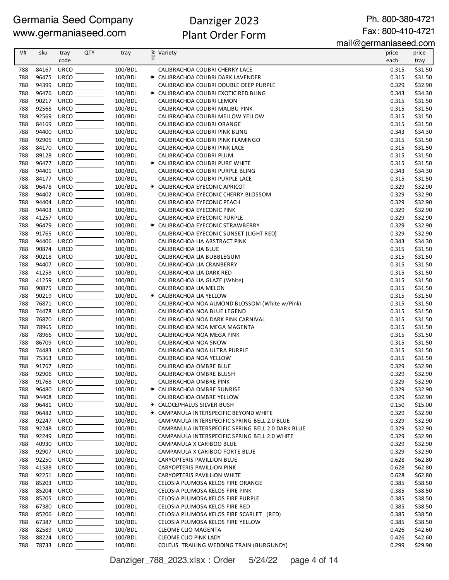# Danziger 2023 Plant Order Form

Ph. 800-380-4721 Fax: 800-410-4721

mail@germaniaseed.com

| V#  | sku        | tray        | <b>QTY</b> | tray    | Variety                                           | price | price   |
|-----|------------|-------------|------------|---------|---------------------------------------------------|-------|---------|
|     |            | code        |            |         | new                                               | each  | tray    |
| 788 | 84167      | <b>URCO</b> |            | 100/BDL | CALIBRACHOA COLIBRI CHERRY LACE                   | 0.315 | \$31.50 |
| 788 | 96475      | <b>URCO</b> |            | 100/BDL | * CALIBRACHOA COLIBRI DARK LAVENDER               | 0.315 | \$31.50 |
| 788 | 94399      | <b>URCO</b> |            | 100/BDL | CALIBRACHOA COLIBRI DOUBLE DEEP PURPLE            | 0.329 | \$32.90 |
| 788 | 96476      | <b>URCO</b> |            | 100/BDL | * CALIBRACHOA COLIBRI EXOTIC RED BLING            | 0.343 | \$34.30 |
| 788 | 90217      | <b>URCO</b> |            | 100/BDL | CALIBRACHOA COLIBRI LEMON                         | 0.315 | \$31.50 |
| 788 | 92568      | <b>URCO</b> |            | 100/BDL | CALIBRACHOA COLIBRI MALIBU PINK                   | 0.315 | \$31.50 |
| 788 | 92569      | <b>URCO</b> |            | 100/BDL | CALIBRACHOA COLIBRI MELLOW YELLOW                 | 0.315 | \$31.50 |
| 788 | 84169      | <b>URCO</b> |            | 100/BDL | CALIBRACHOA COLIBRI ORANGE                        | 0.315 | \$31.50 |
| 788 | 94400      | <b>URCO</b> |            | 100/BDL | CALIBRACHOA COLIBRI PINK BLING                    | 0.343 | \$34.30 |
| 788 | 92905      | <b>URCO</b> |            | 100/BDL | CALIBRACHOA COLIBRI PINK FLAMINGO                 | 0.315 | \$31.50 |
| 788 | 84170      | <b>URCO</b> |            | 100/BDL | CALIBRACHOA COLIBRI PINK LACE                     | 0.315 | \$31.50 |
| 788 | 89128      | <b>URCO</b> |            | 100/BDL | CALIBRACHOA COLIBRI PLUM                          | 0.315 | \$31.50 |
| 788 | 96477      | <b>URCO</b> |            | 100/BDL | * CALIBRACHOA COLIBRI PURE WHITE                  | 0.315 | \$31.50 |
| 788 | 94401      | <b>URCO</b> |            | 100/BDL | CALIBRACHOA COLIBRI PURPLE BLING                  | 0.343 | \$34.30 |
| 788 | 84177      | <b>URCO</b> |            | 100/BDL | CALIBRACHOA COLIBRI PURPLE LACE                   | 0.315 | \$31.50 |
| 788 | 96478      | <b>URCO</b> |            | 100/BDL | * CALIBRACHOA EYECONIC APRICOT                    | 0.329 | \$32.90 |
| 788 | 94402      | <b>URCO</b> |            | 100/BDL | CALIBRACHOA EYECONIC CHERRY BLOSSOM               | 0.329 | \$32.90 |
| 788 | 94404      | <b>URCO</b> |            | 100/BDL | CALIBRACHOA EYECONIC PEACH                        | 0.329 | \$32.90 |
| 788 | 94403      | <b>URCO</b> |            | 100/BDL | CALIBRACHOA EYECONIC PINK                         | 0.329 | \$32.90 |
| 788 | 41257      | <b>URCO</b> |            | 100/BDL | CALIBRACHOA EYECONIC PURPLE                       | 0.329 | \$32.90 |
| 788 | 96479      | <b>URCO</b> |            | 100/BDL | * CALIBRACHOA EYECONIC STRAWBERRY                 | 0.329 | \$32.90 |
| 788 | 91765      | <b>URCO</b> |            | 100/BDL | CALIBRACHOA EYECONIC SUNSET (LIGHT RED)           | 0.329 | \$32.90 |
| 788 | 94406      | <b>URCO</b> |            | 100/BDL | CALIBRACHOA LIA ABSTRACT PINK                     | 0.343 | \$34.30 |
| 788 | 90874      | <b>URCO</b> |            | 100/BDL | CALIBRACHOA LIA BLUE                              | 0.315 | \$31.50 |
| 788 | 90218      | <b>URCO</b> |            | 100/BDL | CALIBRACHOA LIA BUBBLEGUM                         | 0.315 | \$31.50 |
| 788 | 94407      | <b>URCO</b> |            | 100/BDL | CALIBRACHOA LIA CRANBERRY                         | 0.315 | \$31.50 |
| 788 | 41258      | <b>URCO</b> |            | 100/BDL | CALIBRACHOA LIA DARK RED                          | 0.315 | \$31.50 |
| 788 | 41259      | <b>URCO</b> |            | 100/BDL | CALIBRACHOA LIA GLAZE (White)                     | 0.315 | \$31.50 |
| 788 | 90875      | <b>URCO</b> |            | 100/BDL | CALIBRACHOA LIA MELON                             | 0.315 | \$31.50 |
| 788 | 90219      | <b>URCO</b> |            | 100/BDL | * CALIBRACHOA LIA YELLOW                          | 0.315 | \$31.50 |
| 788 | 76871      | <b>URCO</b> |            | 100/BDL | CALIBRACHOA NOA ALMOND BLOSSOM (White w/Pink)     | 0.315 | \$31.50 |
| 788 | 74478      | <b>URCO</b> |            | 100/BDL | CALIBRACHOA NOA BLUE LEGEND                       | 0.315 | \$31.50 |
| 788 | 76870      | <b>URCO</b> |            | 100/BDL | CALIBRACHOA NOA DARK PINK CARNIVAL                | 0.315 | \$31.50 |
| 788 | 78965      | <b>URCO</b> |            | 100/BDL | CALIBRACHOA NOA MEGA MAGENTA                      | 0.315 | \$31.50 |
| 788 | 78966      | <b>URCO</b> |            | 100/BDL | CALIBRACHOA NOA MEGA PINK                         | 0.315 | \$31.50 |
| 788 | 86709      | <b>URCO</b> |            | 100/BDL | CALIBRACHOA NOA SNOW                              | 0.315 | \$31.50 |
| 788 | 74483      | URCO        |            | 100/BDL | CALIBRACHOA NOA ULTRA PURPLE                      | 0.315 | \$31.50 |
| 788 | 75363      | <b>URCO</b> |            | 100/BDL | CALIBRACHOA NOA YELLOW                            | 0.315 | \$31.50 |
| 788 | 91767      | <b>URCO</b> |            | 100/BDL | CALIBRACHOA OMBRE BLUE                            | 0.329 | \$32.90 |
| 788 | 92906 URCO |             |            | 100/BDL | CALIBRACHOA OMBRE BLUSH                           | 0.329 | \$32.90 |
| 788 | 91768      | URCO        |            | 100/BDL | CALIBRACHOA OMBRE PINK                            | 0.329 | \$32.90 |
| 788 | 96480      | <b>URCO</b> |            | 100/BDL | * CALIBRACHOA OMBRE SUNRISE                       | 0.329 | \$32.90 |
| 788 | 94408      | <b>URCO</b> |            | 100/BDL | CALIBRACHOA OMBRE YELLOW                          | 0.329 | \$32.90 |
| 788 | 96481      | <b>URCO</b> |            | 100/BDL | <b>* CALOCEPHALUS SILVER BUSH</b>                 | 0.150 | \$15.00 |
| 788 | 96482      | <b>URCO</b> |            | 100/BDL | * CAMPANULA INTERSPECIFIC BEYOND WHITE            | 0.329 | \$32.90 |
| 788 | 92247      | <b>URCO</b> |            | 100/BDL | CAMPANULA INTERSPECIFIC SPRING BELL 2.0 BLUE      | 0.329 | \$32.90 |
| 788 | 92248      | <b>URCO</b> |            | 100/BDL | CAMPANULA INTERSPECIFIC SPRING BELL 2.0 DARK BLUE | 0.329 | \$32.90 |
| 788 | 92249      | <b>URCO</b> |            | 100/BDL | CAMPANULA INTERSPECIFIC SPRING BELL 2.0 WHITE     | 0.329 | \$32.90 |
| 788 | 40930      | <b>URCO</b> |            | 100/BDL | CAMPANULA X CARIBOO BLUE                          | 0.329 | \$32.90 |
| 788 | 92907      | <b>URCO</b> |            | 100/BDL | CAMPANULA X CARIBOO FORTE BLUE                    | 0.329 | \$32.90 |
| 788 | 92250      | <b>URCO</b> |            | 100/BDL | CARYOPTERIS PAVILLION BLUE                        | 0.628 | \$62.80 |
| 788 | 41588      | URCO        |            | 100/BDL | CARYOPTERIS PAVILLION PINK                        | 0.628 | \$62.80 |
| 788 | 92251      | <b>URCO</b> |            | 100/BDL | CARYOPTERIS PAVILLION WHITE                       | 0.628 | \$62.80 |
| 788 | 85203      | <b>URCO</b> |            | 100/BDL | CELOSIA PLUMOSA KELOS FIRE ORANGE                 | 0.385 | \$38.50 |
| 788 | 85204      | <b>URCO</b> |            | 100/BDL | CELOSIA PLUMOSA KELOS FIRE PINK                   | 0.385 | \$38.50 |
| 788 | 85205      | <b>URCO</b> |            | 100/BDL | CELOSIA PLUMOSA KELOS FIRE PURPLE                 | 0.385 | \$38.50 |
| 788 | 67380      | <b>URCO</b> |            | 100/BDL | CELOSIA PLUMOSA KELOS FIRE RED                    | 0.385 | \$38.50 |
| 788 | 85206      | <b>URCO</b> |            | 100/BDL | CELOSIA PLUMOSA KELOS FIRE SCARLET (RED)          | 0.385 | \$38.50 |
| 788 | 67387      | <b>URCO</b> |            | 100/BDL | CELOSIA PLUMOSA KELOS FIRE YELLOW                 | 0.385 | \$38.50 |
| 788 | 82589      | <b>URCO</b> |            | 100/BDL | CLEOME CLIO MAGENTA                               | 0.426 | \$42.60 |
| 788 | 88224      | <b>URCO</b> |            | 100/BDL | CLEOME CLIO PINK LADY                             | 0.426 | \$42.60 |
| 788 | 78733      | URCO        |            | 100/BDL | COLEUS TRAILING WEDDING TRAIN (BURGUNDY)          | 0.299 | \$29.90 |

Danziger\_788\_2023.xlsx : Order 5/24/22 page 4 of 14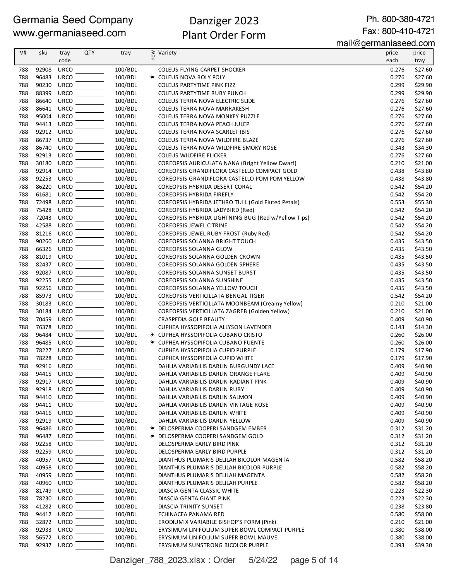# Danziger 2023 Plant Order Form

Ph. 800-380-4721 Fax: 800-410-4721

mail@germaniaseed.com

| V#         | sku            | tray                       | <b>QTY</b> | tray               |                                                                 | .<br>guinamau uu luun<br>price | price              |
|------------|----------------|----------------------------|------------|--------------------|-----------------------------------------------------------------|--------------------------------|--------------------|
|            |                | code                       |            |                    | ≷ Variety<br>E                                                  | each                           | tray               |
|            |                |                            |            |                    |                                                                 |                                |                    |
| 788        | 92908          | <b>URCO</b>                |            | 100/BDL            | COLEUS FLYING CARPET SHOCKER                                    | 0.276                          | \$27.60            |
| 788        | 96483          | <b>URCO</b>                |            | 100/BDL            | * COLEUS NOVA ROLY POLY                                         | 0.276                          | \$27.60            |
| 788<br>788 | 90230<br>88399 | <b>URCO</b><br><b>URCO</b> |            | 100/BDL<br>100/BDL | COLEUS PARTYTIME PINK FIZZ<br>COLEUS PARTYTIME RUBY PUNCH       | 0.299<br>0.299                 | \$29.90<br>\$29.90 |
|            | 86640          | <b>URCO</b>                |            |                    |                                                                 |                                |                    |
| 788<br>788 | 86641          | <b>URCO</b>                |            | 100/BDL<br>100/BDL | COLEUS TERRA NOVA ELECTRIC SLIDE<br>COLEUS TERRA NOVA MARRAKESH | 0.276<br>0.276                 | \$27.60<br>\$27.60 |
| 788        | 95004          | <b>URCO</b>                |            | 100/BDL            | COLEUS TERRA NOVA MONKEY PUZZLE                                 | 0.276                          | \$27.60            |
| 788        | 94413          | <b>URCO</b>                |            | 100/BDL            | COLEUS TERRA NOVA PEACH JULEP                                   | 0.276                          | \$27.60            |
| 788        | 92912          | <b>URCO</b>                |            | 100/BDL            | COLEUS TERRA NOVA SCARLET IBIS                                  | 0.276                          | \$27.60            |
| 788        | 86737          | <b>URCO</b>                |            | 100/BDL            | COLEUS TERRA NOVA WILDFIRE BLAZE                                | 0.276                          | \$27.60            |
| 788        | 86740          | <b>URCO</b>                |            | 100/BDL            | COLEUS TERRA NOVA WILDFIRE SMOKY ROSE                           | 0.343                          | \$34.30            |
| 788        | 92913          | URCO                       |            | 100/BDL            | COLEUS WILDFIRE FLICKER                                         | 0.276                          | \$27.60            |
| 788        | 30180          | <b>URCO</b>                |            | 100/BDL            | COREOPSIS AURICULATA NANA (Bright Yellow Dwarf)                 | 0.210                          | \$21.00            |
| 788        | 92914          | <b>URCO</b>                |            | 100/BDL            | COREOPSIS GRANDIFLORA CASTELLO COMPACT GOLD                     | 0.438                          | \$43.80            |
| 788        | 92253          | <b>URCO</b>                |            | 100/BDL            | COREOPSIS GRANDIFLORA CASTELLO POM POM YELLOW                   | 0.438                          | \$43.80            |
| 788        | 86220          | <b>URCO</b>                |            | 100/BDL            | COREOPSIS HYBRIDA DESERT CORAL                                  | 0.542                          | \$54.20            |
| 788        | 61681          | <b>URCO</b>                |            | 100/BDL            | COREOPSIS HYBRIDA FIREFLY                                       | 0.542                          | \$54.20            |
| 788        | 72498          | <b>URCO</b>                |            | 100/BDL            | COREOPSIS HYBRIDA JETHRO TULL (Gold Fluted Petals)              | 0.553                          | \$55.30            |
| 788        | 75428          | <b>URCO</b>                |            | 100/BDL            | COREOPSIS HYBRIDA LADYBIRD (Red)                                | 0.542                          | \$54.20            |
| 788        | 72043          | URCO                       |            | 100/BDL            | COREOPSIS HYBRIDA LIGHTNING BUG (Red w/Yellow Tips)             | 0.542                          | \$54.20            |
| 788        | 42588          | <b>URCO</b>                |            | 100/BDL            | COREOPSIS JEWEL CITRINE                                         | 0.542                          | \$54.20            |
| 788        | 81216          | <b>URCO</b>                |            | 100/BDL            | COREOPSIS JEWEL RUBY FROST (Ruby Red)                           | 0.542                          | \$54.20            |
| 788        | 90260          | <b>URCO</b>                |            | 100/BDL            | COREOPSIS SOLANNA BRIGHT TOUCH                                  | 0.435                          | \$43.50            |
| 788        | 66326          | <b>URCO</b>                |            | 100/BDL            | COREOPSIS SOLANNA GLOW                                          | 0.435                          | \$43.50            |
| 788        | 81019          | <b>URCO</b>                |            | 100/BDL            | COREOPSIS SOLANNA GOLDEN CROWN                                  | 0.435                          | \$43.50            |
| 788        | 82437          | <b>URCO</b>                |            | 100/BDL            | COREOPSIS SOLANNA GOLDEN SPHERE                                 | 0.435                          | \$43.50            |
| 788        | 92087          | <b>URCO</b>                |            | 100/BDL            | COREOPSIS SOLANNA SUNSET BURST                                  | 0.435                          | \$43.50            |
| 788        | 92255          | <b>URCO</b>                |            | 100/BDL            | COREOPSIS SOLANNA SUNSHINE                                      | 0.435                          | \$43.50            |
| 788        | 92256          | <b>URCO</b>                |            | 100/BDL            | COREOPSIS SOLANNA YELLOW TOUCH                                  | 0.435                          | \$43.50            |
| 788        | 85973          | URCO                       |            | 100/BDL            | COREOPSIS VERTICILLATA BENGAL TIGER                             | 0.542                          | \$54.20            |
| 788        | 30183          | <b>URCO</b>                |            | 100/BDL            | COREOPSIS VERTICILLATA MOONBEAM (Creamy Yellow)                 | 0.210                          | \$21.00            |
| 788        | 30184          | <b>URCO</b>                |            | 100/BDL            | COREOPSIS VERTICILLATA ZAGREB (Golden Yellow)                   | 0.210                          | \$21.00            |
| 788        | 70459          | <b>URCO</b>                |            | 100/BDL            | <b>CRASPEDIA GOLF BEAUTY</b>                                    | 0.409                          | \$40.90            |
| 788        | 76378          | <b>URCO</b>                |            | 100/BDL            | CUPHEA HYSSOPIFOLIA ALLYSON LAVENDER                            | 0.143                          | \$14.30            |
| 788        | 96484          | <b>URCO</b>                |            | 100/BDL            | * CUPHEA HYSSOPIFOLIA CUBANO CRISTO                             | 0.260                          | \$26.00            |
| 788        | 96485          | <b>URCO</b>                |            | 100/BDL            | <b>* CUPHEA HYSSOPIFOLIA CUBANO FUENTE</b>                      | 0.260                          | \$26.00            |
| 788        | 78227          | ${\small\textsf{URCO}}$    |            | 100/BDL            | CUPHEA HYSSOPIFOLIA CUPID PURPLE                                | 0.179                          | \$17.90            |
| 788        | 78228          | <b>URCO</b>                |            | 100/BDL            | CUPHEA HYSSOPIFOLIA CUPID WHITE                                 | 0.179                          | \$17.90            |
| 788        | 92916          | URCO                       |            | 100/BDL            | DAHLIA VARIABILIS DARLIN BURGUNDY LACE                          | 0.409                          | \$40.90            |
| 788        | 94415 URCO     |                            |            | 100/BDL            | DAHLIA VARIABILIS DARLIN ORANGE FLARE                           | 0.409                          | \$40.90            |
| 788        | 92917 URCO     |                            |            | 100/BDL            | DAHLIA VARIABILIS DARLIN RADIANT PINK                           | 0.409                          | \$40.90            |
| 788        | 92918          | URCO                       |            | 100/BDL            | DAHLIA VARIABILIS DARLIN RUBY                                   | 0.409                          | \$40.90            |
| 788        | 94410          | <b>URCO</b>                |            | 100/BDL            | DAHLIA VARIABILIS DARLIN SALMON                                 | 0.409                          | \$40.90            |
| 788        | 94411          | URCO                       |            | 100/BDL            | DAHLIA VARIABILIS DARLIN VINTAGE ROSE                           | 0.409                          | \$40.90            |
| 788        | 94416          | <b>URCO</b>                |            | 100/BDL            | DAHLIA VARIABILIS DARLIN WHITE                                  | 0.409                          | \$40.90            |
| 788        | 92919          | <b>URCO</b>                |            | 100/BDL            | DAHLIA VARIABILIS DARLIN YELLOW                                 | 0.409                          | \$40.90            |
| 788        | 96486          | <b>URCO</b>                |            | 100/BDL            | <b>★ DELOSPERMA COOPERI SANDGEM EMBER</b>                       | 0.312                          | \$31.20            |
| 788        | 96487          | <b>URCO</b>                |            | 100/BDL            | <b>★ DELOSPERMA COOPERI SANDGEM GOLD</b>                        | 0.312                          | \$31.20            |
| 788        | 92258          | <b>URCO</b>                |            | 100/BDL            | DELOSPERMA EARLY BIRD PINK                                      | 0.312                          | \$31.20            |
| 788        | 92259          | <b>URCO</b>                |            | 100/BDL            | DELOSPERMA EARLY BIRD PURPLE                                    | 0.312                          | \$31.20            |
| 788        | 40957          | <b>URCO</b>                |            | 100/BDL            | DIANTHUS PLUMARIS DELILAH BICOLOR MAGENTA                       | 0.582                          | \$58.20            |
| 788        | 40958          | <b>URCO</b>                |            | 100/BDL            | DIANTHUS PLUMARIS DELILAH BICOLOR PURPLE                        | 0.582                          | \$58.20            |
| 788        | 40959          | <b>URCO</b>                |            | 100/BDL            | DIANTHUS PLUMARIS DELILAH MAGENTA                               | 0.582                          | \$58.20            |
| 788        | 40960          | <b>URCO</b>                |            | 100/BDL            | DIANTHUS PLUMARIS DELILAH PURPLE                                | 0.582                          | \$58.20            |
| 788        | 81749          | <b>URCO</b>                |            | 100/BDL            | DIASCIA GENTA CLASSIC WHITE                                     | 0.223                          | \$22.30            |
| 788        | 78230          | <b>URCO</b>                |            | 100/BDL            | DIASCIA GENTA GIANT PINK                                        | 0.223                          | \$22.30            |
| 788        | 41282          | <b>URCO</b>                |            | 100/BDL            | DIASCIA TRINITY SUNSET                                          | 0.238                          | \$23.80            |
| 788        | 94412          | URCO                       |            | 100/BDL            | ECHINACEA PANAMA RED                                            | 0.580                          | \$58.00            |
| 788        | 32872 URCO     |                            |            | 100/BDL            | ERODIUM X VARIABILE BISHOP'S FORM (Pink)                        | 0.210                          | \$21.00            |
| 788<br>788 | 92933<br>56572 | URCO<br>URCO               |            | 100/BDL<br>100/BDL | ERYSIMUM LINIFOLIUM SUPER BOWL COMPACT PURPLE                   | 0.380<br>0.380                 | \$38.00            |
|            | 92937 URCO     |                            |            |                    | ERYSIMUM LINIFOLIUM SUPER BOWL MAUVE                            |                                | \$38.00            |
| 788        |                |                            |            | 100/BDL            | ERYSIMUM SUNSTRONG BICOLOR PURPLE                               | 0.393                          | \$39.30            |

Danziger\_788\_2023.xlsx : Order 5/24/22 page 5 of 14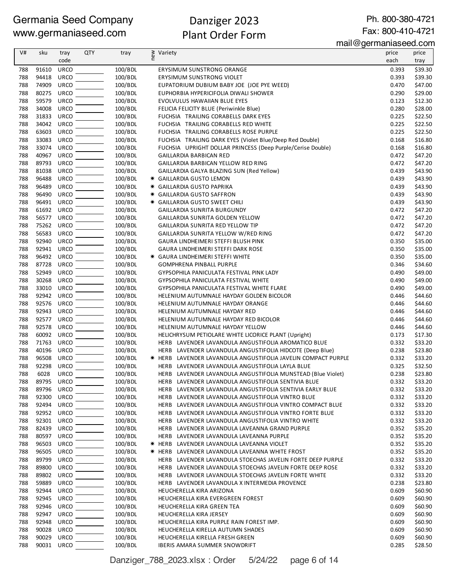# Danziger 2023 Plant Order Form

Ph. 800-380-4721

Fax: 800-410-4721

|            |                |                            |            |                    | .                                                                                                            | mail@germaniaseed.com |                    |
|------------|----------------|----------------------------|------------|--------------------|--------------------------------------------------------------------------------------------------------------|-----------------------|--------------------|
| V#         | sku            | tray                       | <b>QTY</b> | tray               | ≷ Variety<br>E                                                                                               | price                 | price              |
|            |                | code                       |            |                    |                                                                                                              | each                  | tray               |
| 788        | 91610<br>94418 | <b>URCO</b><br><b>URCO</b> |            | 100/BDL            | ERYSIMUM SUNSTRONG ORANGE                                                                                    | 0.393                 | \$39.30            |
| 788<br>788 | 74909          | <b>URCO</b>                |            | 100/BDL<br>100/BDL | ERYSIMUM SUNSTRONG VIOLET<br>EUPATORIUM DUBIUM BABY JOE (JOE PYE WEED)                                       | 0.393<br>0.470        | \$39.30<br>\$47.00 |
| 788        | 80275          | <b>URCO</b>                |            | 100/BDL            | EUPHORBIA HYPERICIFOLIA DIWALI SHOWER                                                                        | 0.290                 | \$29.00            |
| 788        | 59579          | <b>URCO</b>                |            | 100/BDL            | EVOLVULUS HAWAIIAN BLUE EYES                                                                                 | 0.123                 | \$12.30            |
| 788        | 34008          | <b>URCO</b>                |            | 100/BDL            | FELICIA FELICITY BLUE (Periwinkle Blue)                                                                      | 0.280                 | \$28.00            |
| 788        | 31833          | <b>URCO</b>                |            | 100/BDL            | FUCHSIA TRAILING CORABELLS DARK EYES                                                                         | 0.225                 | \$22.50            |
| 788        | 34042          | <b>URCO</b>                |            | 100/BDL            | FUCHSIA TRAILING CORABELLS RED WHITE                                                                         | 0.225                 | \$22.50            |
| 788        | 63603          | <b>URCO</b>                |            | 100/BDL            | FUCHSIA TRAILING CORABELLS ROSE PURPLE                                                                       | 0.225                 | \$22.50            |
| 788        | 33083          | <b>URCO</b>                |            | 100/BDL            | FUCHSIA TRAILING DARK EYES (Violet Blue/Deep Red Double)                                                     | 0.168                 | \$16.80            |
| 788        | 33074          | <b>URCO</b>                |            | 100/BDL            | FUCHSIA UPRIGHT DOLLAR PRINCESS (Deep Purple/Cerise Double)                                                  | 0.168                 | \$16.80            |
| 788        | 40967          | <b>URCO</b>                |            | 100/BDL            | <b>GAILLARDIA BARBICAN RED</b>                                                                               | 0.472                 | \$47.20            |
| 788<br>788 | 89793<br>81038 | <b>URCO</b><br><b>URCO</b> |            | 100/BDL<br>100/BDL | GAILLARDIA BARBICAN YELLOW RED RING                                                                          | 0.472<br>0.439        | \$47.20            |
| 788        | 96488          | <b>URCO</b>                |            | 100/BDL            | GAILLARDIA GALYA BLAZING SUN (Red Yellow)<br>* GAILLARDIA GUSTO LEMON                                        | 0.439                 | \$43.90<br>\$43.90 |
| 788        | 96489          | <b>URCO</b>                |            | 100/BDL            | * GAILLARDIA GUSTO PAPRIKA                                                                                   | 0.439                 | \$43.90            |
| 788        | 96490          | <b>URCO</b>                |            | 100/BDL            | <b>★ GAILLARDIA GUSTO SAFFRON</b>                                                                            | 0.439                 | \$43.90            |
| 788        | 96491          | <b>URCO</b>                |            | 100/BDL            | * GAILLARDIA GUSTO SWEET CHILI                                                                               | 0.439                 | \$43.90            |
| 788        | 61692          | <b>URCO</b>                |            | 100/BDL            | GAILLARDIA SUNRITA BURGUNDY                                                                                  | 0.472                 | \$47.20            |
| 788        | 56577          | <b>URCO</b>                |            | 100/BDL            | GAILLARDIA SUNRITA GOLDEN YELLOW                                                                             | 0.472                 | \$47.20            |
| 788        | 75262          | <b>URCO</b>                |            | 100/BDL            | GAILLARDIA SUNRITA RED YELLOW TIP                                                                            | 0.472                 | \$47.20            |
| 788        | 56583          | <b>URCO</b>                |            | 100/BDL            | GAILLARDIA SUNRITA YELLOW W/RED RING                                                                         | 0.472                 | \$47.20            |
| 788        | 92940          | <b>URCO</b>                |            | 100/BDL            | GAURA LINDHEIMERI STEFFI BLUSH PINK                                                                          | 0.350                 | \$35.00            |
| 788        | 92941          | <b>URCO</b>                |            | 100/BDL            | GAURA LINDHEIMERI STEFFI DARK ROSE                                                                           | 0.350                 | \$35.00            |
| 788        | 96492          | <b>URCO</b>                |            | 100/BDL            | * GAURA LINDHEIMERI STEFFI WHITE                                                                             | 0.350                 | \$35.00            |
| 788        | 87728          | <b>URCO</b>                |            | 100/BDL            | <b>GOMPHRENA PINBALL PURPLE</b>                                                                              | 0.346                 | \$34.60            |
| 788        | 52949          | <b>URCO</b>                |            | 100/BDL            | GYPSOPHILA PANICULATA FESTIVAL PINK LADY                                                                     | 0.490                 | \$49.00            |
| 788        | 30268          | <b>URCO</b><br><b>URCO</b> |            | 100/BDL            | GYPSOPHILA PANICULATA FESTIVAL WHITE                                                                         | 0.490                 | \$49.00            |
| 788<br>788 | 33010<br>92942 | <b>URCO</b>                |            | 100/BDL<br>100/BDL | GYPSOPHILA PANICULATA FESTIVAL WHITE FLARE<br>HELENIUM AUTUMNALE HAYDAY GOLDEN BICOLOR                       | 0.490<br>0.446        | \$49.00<br>\$44.60 |
| 788        | 92576          | <b>URCO</b>                |            | 100/BDL            | HELENIUM AUTUMNALE HAYDAY ORANGE                                                                             | 0.446                 | \$44.60            |
| 788        | 92943          | <b>URCO</b>                |            | 100/BDL            | HELENIUM AUTUMNALE HAYDAY RED                                                                                | 0.446                 | \$44.60            |
| 788        | 92577          | <b>URCO</b>                |            | 100/BDL            | HELENIUM AUTUMNALE HAYDAY RED BICOLOR                                                                        | 0.446                 | \$44.60            |
| 788        | 92578          | <b>URCO</b>                |            | 100/BDL            | HELENIUM AUTUMNALE HAYDAY YELLOW                                                                             | 0.446                 | \$44.60            |
| 788        | 60092          | <b>URCO</b>                |            | 100/BDL            | HELICHRYSUM PETIOLARE WHITE LICORICE PLANT (Upright)                                                         | 0.173                 | \$17.30            |
| 788        | 71763          | <b>URCO</b>                |            | 100/BDL            | HERB LAVENDER LAVANDULA ANGUSTIFOLIA AROMATICO BLUE                                                          | 0.332                 | \$33.20            |
| 788        | 40196          | <b>URCO</b>                |            | 100/BDL            | HERB LAVENDER LAVANDULA ANGUSTIFOLIA HIDCOTE (Deep Blue)                                                     | 0.238                 | \$23.80            |
| 788        | 96508 URCO     |                            |            | 100/BDL            | * HERB LAVENDER LAVANDULA ANGUSTIFOLIA JAVELIN COMPACT PURPLE                                                | 0.332                 | \$33.20            |
| 788        | 92298 URCO     |                            |            | 100/BDL            | HERB LAVENDER LAVANDULA ANGUSTIFOLIA LAYLA BLUE                                                              | 0.325                 | \$32.50            |
| 788        | 6028           | URCO                       |            | 100/BDL            | HERB LAVENDER LAVANDULA ANGUSTIFOLIA MUNSTEAD (Blue Violet)                                                  | 0.238                 | \$23.80            |
| 788        | 89795          | URCO                       |            | 100/BDL            | HERB LAVENDER LAVANDULA ANGUSTIFOLIA SENTIVIA BLUE                                                           | 0.332                 | \$33.20            |
| 788<br>788 | 89796<br>92300 | <b>URCO</b><br><b>URCO</b> |            | 100/BDL<br>100/BDL | HERB LAVENDER LAVANDULA ANGUSTIFOLIA SENTIVIA EARLY BLUE<br>HERB LAVENDER LAVANDULA ANGUSTIFOLIA VINTRO BLUE | 0.332<br>0.332        | \$33.20<br>\$33.20 |
| 788        | 92494          | <b>URCO</b>                |            | 100/BDL            | HERB LAVENDER LAVANDULA ANGUSTIFOLIA VINTRO COMPACT BLUE                                                     | 0.332                 | \$33.20            |
| 788        | 92952          | <b>URCO</b>                |            | 100/BDL            | HERB LAVENDER LAVANDULA ANGUSTIFOLIA VINTRO FORTE BLUE                                                       | 0.332                 | \$33.20            |
| 788        | 92301          | <b>URCO</b>                |            | 100/BDL            | HERB LAVENDER LAVANDULA ANGUSTIFOLIA VINTRO WHITE                                                            | 0.332                 | \$33.20            |
| 788        | 82439          | <b>URCO</b>                |            | 100/BDL            | HERB LAVENDER LAVANDULA LAVEANNA GRAND PURPLE                                                                | 0.352                 | \$35.20            |
| 788        | 80597          | <b>URCO</b>                |            | 100/BDL            | HERB LAVENDER LAVANDULA LAVEANNA PURPLE                                                                      | 0.352                 | \$35.20            |
| 788        | 96503          | <b>URCO</b>                |            | 100/BDL            | * HERB LAVENDER LAVANDULA LAVEANNA VIOLET                                                                    | 0.352                 | \$35.20            |
| 788        | 96505          | <b>URCO</b>                |            | 100/BDL            | <b>* HERB LAVENDER LAVANDULA LAVEANNA WHITE FROST</b>                                                        | 0.352                 | \$35.20            |
| 788        | 89799          | <b>URCO</b>                |            | 100/BDL            | HERB LAVENDER LAVANDULA STOECHAS JAVELIN FORTE DEEP PURPLE                                                   | 0.332                 | \$33.20            |
| 788        | 89800          | <b>URCO</b>                |            | 100/BDL            | HERB LAVENDER LAVANDULA STOECHAS JAVELIN FORTE DEEP ROSE                                                     | 0.332                 | \$33.20            |
| 788        | 89802          | <b>URCO</b>                |            | 100/BDL            | HERB LAVENDER LAVANDULA STOECHAS JAVELIN FORTE WHITE                                                         | 0.332                 | \$33.20            |
| 788        | 59889          | <b>URCO</b>                |            | 100/BDL            | HERB LAVENDER LAVANDULA X INTERMEDIA PROVENCE                                                                | 0.238                 | \$23.80            |
| 788        | 92944          | <b>URCO</b>                |            | 100/BDL            | HEUCHERELLA KIRA ARIZONA                                                                                     | 0.609                 | \$60.90            |
| 788        | 92945          | <b>URCO</b>                |            | 100/BDL            | HEUCHERELLA KIRA EVERGREEN FOREST                                                                            | 0.609                 | \$60.90            |
| 788<br>788 | 92946<br>92947 | <b>URCO</b><br><b>URCO</b> |            | 100/BDL<br>100/BDL | HEUCHERELLA KIRA GREEN TEA<br>HEUCHERELLA KIRA JERSEY                                                        | 0.609<br>0.609        | \$60.90<br>\$60.90 |
| 788        | 92948          | <b>URCO</b>                |            | 100/BDL            | HEUCHERELLA KIRA PURPLE RAIN FOREST IMP.                                                                     | 0.609                 | \$60.90            |
| 788        | 90028          | <b>URCO</b>                |            | 100/BDL            | HEUCHERELLA KIRELLA AUTUMN SHADES                                                                            | 0.609                 | \$60.90            |
| 788        | 90029          | <b>URCO</b>                |            | 100/BDL            | HEUCHERELLA KIRELLA FRESH GREEN                                                                              | 0.609                 | \$60.90            |
| 788        | 90031          | <b>URCO</b>                |            | 100/BDL            | <b>IBERIS AMARA SUMMER SNOWDRIFT</b>                                                                         | 0.285                 | \$28.50            |
|            |                |                            |            |                    |                                                                                                              |                       |                    |

Danziger\_788\_2023.xlsx : Order 5/24/22 page 6 of 14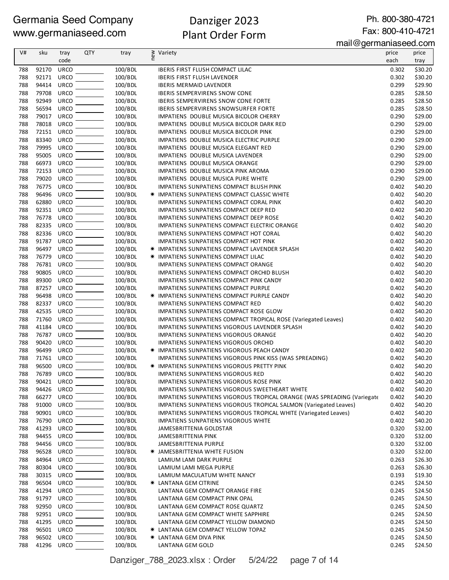# Danziger 2023 Plant Order Form

Ph. 800-380-4721 Fax: 800-410-4721

mail@germaniaseed.com

|     |            |             |            |         |   | $\alpha$ inan $\approx$ y $\sigma$ inianias $\sigma$ cu.com             |       |         |
|-----|------------|-------------|------------|---------|---|-------------------------------------------------------------------------|-------|---------|
| V#  | sku        | tray        | <b>QTY</b> | tray    | ₹ | Variety                                                                 | price | price   |
|     |            | code        |            |         |   |                                                                         | each  | tray    |
| 788 | 92170      | <b>URCO</b> |            | 100/BDL |   | <b>IBERIS FIRST FLUSH COMPACT LILAC</b>                                 | 0.302 | \$30.20 |
| 788 | 92171      | <b>URCO</b> |            | 100/BDL |   | <b>IBERIS FIRST FLUSH LAVENDER</b>                                      | 0.302 | \$30.20 |
| 788 | 94414      | <b>URCO</b> |            | 100/BDL |   | <b>IBERIS MERMAID LAVENDER</b>                                          | 0.299 | \$29.90 |
| 788 | 79708      | URCO        |            | 100/BDL |   | <b>IBERIS SEMPERVIRENS SNOW CONE</b>                                    | 0.285 | \$28.50 |
| 788 | 92949      | <b>URCO</b> |            | 100/BDL |   | <b>IBERIS SEMPERVIRENS SNOW CONE FORTE</b>                              | 0.285 | \$28.50 |
| 788 | 56594      | <b>URCO</b> |            | 100/BDL |   | <b>IBERIS SEMPERVIRENS SNOWSURFER FORTE</b>                             | 0.285 | \$28.50 |
| 788 | 79017      | <b>URCO</b> |            | 100/BDL |   | IMPATIENS DOUBLE MUSICA BICOLOR CHERRY                                  | 0.290 | \$29.00 |
| 788 | 78018      | <b>URCO</b> |            | 100/BDL |   | IMPATIENS DOUBLE MUSICA BICOLOR DARK RED                                | 0.290 | \$29.00 |
| 788 | 72151      | <b>URCO</b> |            | 100/BDL |   | IMPATIENS DOUBLE MUSICA BICOLOR PINK                                    | 0.290 | \$29.00 |
| 788 | 83340      | <b>URCO</b> |            | 100/BDL |   | IMPATIENS DOUBLE MUSICA ELECTRIC PURPLE                                 | 0.290 | \$29.00 |
| 788 | 79995      | <b>URCO</b> |            | 100/BDL |   | IMPATIENS DOUBLE MUSICA ELEGANT RED                                     | 0.290 | \$29.00 |
| 788 | 95005      | <b>URCO</b> |            | 100/BDL |   | IMPATIENS DOUBLE MUSICA LAVENDER                                        | 0.290 | \$29.00 |
| 788 | 66973      | <b>URCO</b> |            | 100/BDL |   | IMPATIENS DOUBLE MUSICA ORANGE                                          | 0.290 | \$29.00 |
| 788 | 72153      | <b>URCO</b> |            | 100/BDL |   | IMPATIENS DOUBLE MUSICA PINK AROMA                                      | 0.290 | \$29.00 |
| 788 | 79020      | <b>URCO</b> |            | 100/BDL |   | IMPATIENS DOUBLE MUSICA PURE WHITE                                      | 0.290 | \$29.00 |
| 788 | 76775      | <b>URCO</b> |            | 100/BDL |   | IMPATIENS SUNPATIENS COMPACT BLUSH PINK                                 | 0.402 | \$40.20 |
| 788 | 96496      | <b>URCO</b> |            | 100/BDL |   | * IMPATIENS SUNPATIENS COMPACT CLASSIC WHITE                            | 0.402 | \$40.20 |
| 788 | 62880      | <b>URCO</b> |            | 100/BDL |   | IMPATIENS SUNPATIENS COMPACT CORAL PINK                                 | 0.402 | \$40.20 |
| 788 | 92351      | <b>URCO</b> |            | 100/BDL |   | IMPATIENS SUNPATIENS COMPACT DEEP RED                                   | 0.402 | \$40.20 |
| 788 | 76778      | <b>URCO</b> |            | 100/BDL |   | IMPATIENS SUNPATIENS COMPACT DEEP ROSE                                  | 0.402 | \$40.20 |
| 788 | 82335      | <b>URCO</b> |            | 100/BDL |   | <b>IMPATIENS SUNPATIENS COMPACT ELECTRIC ORANGE</b>                     | 0.402 | \$40.20 |
| 788 | 82336      | URCO        |            | 100/BDL |   | IMPATIENS SUNPATIENS COMPACT HOT CORAL                                  | 0.402 | \$40.20 |
| 788 | 91787      | <b>URCO</b> |            | 100/BDL |   | IMPATIENS SUNPATIENS COMPACT HOT PINK                                   | 0.402 | \$40.20 |
| 788 | 96497      | <b>URCO</b> |            | 100/BDL |   | <b>* IMPATIENS SUNPATIENS COMPACT LAVENDER SPLASH</b>                   | 0.402 | \$40.20 |
| 788 | 76779      | <b>URCO</b> |            | 100/BDL |   | * IMPATIENS SUNPATIENS COMPACT LILAC                                    | 0.402 | \$40.20 |
| 788 | 76781      | URCO        |            | 100/BDL |   | IMPATIENS SUNPATIENS COMPACT ORANGE                                     | 0.402 | \$40.20 |
| 788 | 90805      | <b>URCO</b> |            | 100/BDL |   | IMPATIENS SUNPATIENS COMPACT ORCHID BLUSH                               | 0.402 | \$40.20 |
| 788 | 89300      | <b>URCO</b> |            | 100/BDL |   | IMPATIENS SUNPATIENS COMPACT PINK CANDY                                 | 0.402 | \$40.20 |
| 788 | 87257      | <b>URCO</b> |            | 100/BDL |   | IMPATIENS SUNPATIENS COMPACT PURPLE                                     | 0.402 | \$40.20 |
| 788 | 96498      | <b>URCO</b> |            | 100/BDL |   | * IMPATIENS SUNPATIENS COMPACT PURPLE CANDY                             | 0.402 | \$40.20 |
| 788 | 82337      | URCO        |            | 100/BDL |   | IMPATIENS SUNPATIENS COMPACT RED                                        | 0.402 | \$40.20 |
| 788 | 42535      | <b>URCO</b> |            | 100/BDL |   | IMPATIENS SUNPATIENS COMPACT ROSE GLOW                                  | 0.402 | \$40.20 |
| 788 | 71760      | <b>URCO</b> |            | 100/BDL |   | IMPATIENS SUNPATIENS COMPACT TROPICAL ROSE (Variegated Leaves)          | 0.402 | \$40.20 |
| 788 | 41184      | <b>URCO</b> |            | 100/BDL |   | IMPATIENS SUNPATIENS VIGOROUS LAVENDER SPLASH                           | 0.402 | \$40.20 |
|     |            |             |            |         |   |                                                                         |       |         |
| 788 | 76787      | <b>URCO</b> |            | 100/BDL |   | <b>IMPATIENS SUNPATIENS VIGOROUS ORANGE</b>                             | 0.402 | \$40.20 |
| 788 | 90420      | <b>URCO</b> |            | 100/BDL |   | IMPATIENS SUNPATIENS VIGOROUS ORCHID                                    | 0.402 | \$40.20 |
| 788 | 96499      | <b>URCO</b> |            | 100/BDL |   | <b>★ IMPATIENS SUNPATIENS VIGOROUS PEACH CANDY</b>                      | 0.402 | \$40.20 |
| 788 | 71761      | <b>URCO</b> |            | 100/BDL |   | IMPATIENS SUNPATIENS VIGOROUS PINK KISS (WAS SPREADING)                 | 0.402 | \$40.20 |
| 788 | 96500      | <b>URCO</b> |            | 100/BDL |   | <b>★ IMPATIENS SUNPATIENS VIGOROUS PRETTY PINK</b>                      | 0.402 | \$40.20 |
| 788 | 76789      | <b>URCO</b> |            | 100/BDL |   | IMPATIENS SUNPATIENS VIGOROUS RED                                       | 0.402 | \$40.20 |
| 788 | 90421      | <b>URCO</b> |            | 100/BDL |   | IMPATIENS SUNPATIENS VIGOROUS ROSE PINK                                 | 0.402 | \$40.20 |
| 788 | 94426      | <b>URCO</b> |            | 100/BDL |   | IMPATIENS SUNPATIENS VIGOROUS SWEETHEART WHITE                          | 0.402 | \$40.20 |
| 788 | 66277      | <b>URCO</b> |            | 100/BDL |   | IMPATIENS SUNPATIENS VIGOROUS TROPICAL ORANGE (WAS SPREADING (Variegate | 0.402 | \$40.20 |
| 788 | 91000      | <b>URCO</b> |            | 100/BDL |   | IMPATIENS SUNPATIENS VIGOROUS TROPICAL SALMON (Variegated Leaves)       | 0.402 | \$40.20 |
| 788 | 90901 URCO |             |            | 100/BDL |   | IMPATIENS SUNPATIENS VIGOROUS TROPICAL WHITE (Variegated Leaves)        | 0.402 | \$40.20 |
| 788 | 76790      | <b>URCO</b> |            | 100/BDL |   | <b>IMPATIENS SUNPATIENS VIGOROUS WHITE</b>                              | 0.402 | \$40.20 |
| 788 | 41293      | <b>URCO</b> |            | 100/BDL |   | JAMESBRITTENIA GOLDSTAR                                                 | 0.320 | \$32.00 |
| 788 | 94455      | <b>URCO</b> |            | 100/BDL |   | JAMESBRITTENIA PINK                                                     | 0.320 | \$32.00 |
| 788 | 94456      | <b>URCO</b> |            | 100/BDL |   | JAMESBRITTENIA PURPLE                                                   | 0.320 | \$32.00 |
| 788 | 96528      | <b>URCO</b> |            | 100/BDL |   | <b>★ JAMESBRITTENIA WHITE FUSION</b>                                    | 0.320 | \$32.00 |
| 788 | 84964      | <b>URCO</b> |            | 100/BDL |   | LAMIUM LAMI DARK PURPLE                                                 | 0.263 | \$26.30 |
| 788 | 80304      | <b>URCO</b> |            | 100/BDL |   | LAMIUM LAMI MEGA PURPLE                                                 | 0.263 | \$26.30 |
| 788 | 30315      | <b>URCO</b> |            | 100/BDL |   | LAMIUM MACULATUM WHITE NANCY                                            | 0.193 | \$19.30 |
| 788 | 96504      | <b>URCO</b> |            | 100/BDL |   | * LANTANA GEM CITRINE                                                   | 0.245 | \$24.50 |
| 788 | 41294      | <b>URCO</b> |            | 100/BDL |   | LANTANA GEM COMPACT ORANGE FIRE                                         | 0.245 | \$24.50 |
| 788 | 91797      | <b>URCO</b> |            | 100/BDL |   | LANTANA GEM COMPACT PINK OPAL                                           | 0.245 | \$24.50 |
| 788 | 92950      | <b>URCO</b> |            | 100/BDL |   | LANTANA GEM COMPACT ROSE QUARTZ                                         | 0.245 | \$24.50 |
| 788 | 92951      | <b>URCO</b> |            | 100/BDL |   | LANTANA GEM COMPACT WHITE SAPPHIRE                                      | 0.245 | \$24.50 |
| 788 | 41295      | <b>URCO</b> |            | 100/BDL |   | LANTANA GEM COMPACT YELLOW DIAMOND                                      | 0.245 | \$24.50 |
| 788 | 96501      | <b>URCO</b> |            | 100/BDL |   | * LANTANA GEM COMPACT YELLOW TOPAZ                                      | 0.245 | \$24.50 |
| 788 | 96502      | <b>URCO</b> |            | 100/BDL |   | <b>★ LANTANA GEM DIVA PINK</b>                                          | 0.245 | \$24.50 |
| 788 | 41296      | URCO        |            | 100/BDL |   | LANTANA GEM GOLD                                                        | 0.245 | \$24.50 |
|     |            |             |            |         |   |                                                                         |       |         |

Danziger\_788\_2023.xlsx : Order 5/24/22 page 7 of 14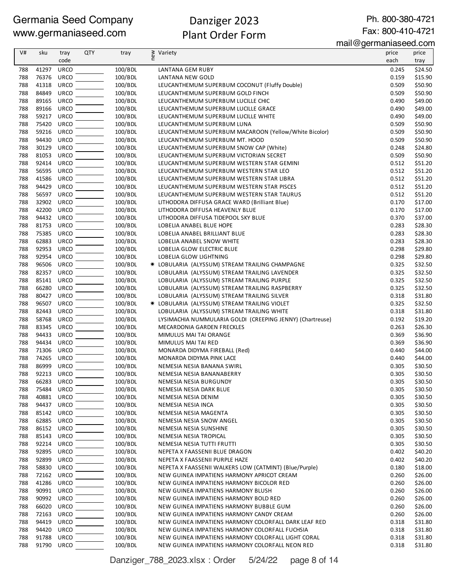# Danziger 2023 Plant Order Form

Ph. 800-380-4721

| V#         | sku            | tray                | <b>QTY</b> | tray               | ≷ Variety<br>E                                                                   | price          | price              |
|------------|----------------|---------------------|------------|--------------------|----------------------------------------------------------------------------------|----------------|--------------------|
|            |                | code                |            |                    |                                                                                  | each           | tray               |
| 788        | 41297          | <b>URCO</b>         |            | 100/BDL            | <b>LANTANA GEM RUBY</b>                                                          | 0.245          | \$24.50            |
| 788        | 76376          | <b>URCO</b>         |            | 100/BDL            | LANTANA NEW GOLD                                                                 | 0.159          | \$15.90            |
| 788        | 41318          | <b>URCO</b>         |            | 100/BDL            | LEUCANTHEMUM SUPERBUM COCONUT (Fluffy Double)                                    | 0.509          | \$50.90            |
| 788        | 84849          | URCO                |            | 100/BDL            | LEUCANTHEMUM SUPERBUM GOLD FINCH                                                 | 0.509          | \$50.90            |
| 788        | 89165          | <b>URCO</b>         |            | 100/BDL            | LEUCANTHEMUM SUPERBUM LUCILLE CHIC                                               | 0.490          | \$49.00            |
| 788        | 89166          | <b>URCO</b>         |            | 100/BDL            | LEUCANTHEMUM SUPERBUM LUCILLE GRACE                                              | 0.490          | \$49.00            |
| 788        | 59217          | <b>URCO</b>         |            | 100/BDL            | LEUCANTHEMUM SUPERBUM LUCILLE WHITE                                              | 0.490          | \$49.00            |
| 788        | 75420          | <b>URCO</b>         |            | 100/BDL            | LEUCANTHEMUM SUPERBUM LUNA                                                       | 0.509          | \$50.90            |
| 788        | 59216          | URCO                |            | 100/BDL            | LEUCANTHEMUM SUPERBUM MACAROON (Yellow/White Bicolor)                            | 0.509          | \$50.90            |
| 788        | 94430          | <b>URCO</b>         |            | 100/BDL            | LEUCANTHEMUM SUPERBUM MT. HOOD                                                   | 0.509          | \$50.90            |
| 788        | 30129          | <b>URCO</b>         |            | 100/BDL            | LEUCANTHEMUM SUPERBUM SNOW CAP (White)                                           | 0.248          | \$24.80            |
| 788        | 81053          | <b>URCO</b>         |            | 100/BDL            | LEUCANTHEMUM SUPERBUM VICTORIAN SECRET                                           | 0.509          | \$50.90            |
| 788        | 92414          | URCO                |            | 100/BDL            | LEUCANTHEMUM SUPERBUM WESTERN STAR GEMINI                                        | 0.512          | \$51.20            |
| 788        | 56595          | URCO                |            | 100/BDL            | LEUCANTHEMUM SUPERBUM WESTERN STAR LEO                                           | 0.512          | \$51.20            |
| 788        | 41586          | <b>URCO</b>         |            | 100/BDL            | LEUCANTHEMUM SUPERBUM WESTERN STAR LIBRA                                         | 0.512          | \$51.20            |
| 788        | 94429<br>56597 | URCO<br><b>URCO</b> |            | 100/BDL            | LEUCANTHEMUM SUPERBUM WESTERN STAR PISCES                                        | 0.512          | \$51.20            |
| 788<br>788 | 32902          | <b>URCO</b>         |            | 100/BDL<br>100/BDL | LEUCANTHEMUM SUPERBUM WESTERN STAR TAURUS                                        | 0.512<br>0.170 | \$51.20<br>\$17.00 |
| 788        | 42200          | <b>URCO</b>         |            | 100/BDL            | LITHODORA DIFFUSA GRACE WARD (Brilliant Blue)<br>LITHODORA DIFFUSA HEAVENLY BLUE | 0.170          | \$17.00            |
| 788        | 94432          | <b>URCO</b>         |            | 100/BDL            | LITHODORA DIFFUSA TIDEPOOL SKY BLUE                                              | 0.370          | \$37.00            |
| 788        | 81753          | <b>URCO</b>         |            | 100/BDL            | LOBELIA ANABEL BLUE HOPE                                                         | 0.283          | \$28.30            |
| 788        | 75385          | URCO                |            | 100/BDL            | LOBELIA ANABEL BRILLIANT BLUE                                                    | 0.283          | \$28.30            |
| 788        | 62883          | URCO                |            | 100/BDL            | LOBELIA ANABEL SNOW WHITE                                                        | 0.283          | \$28.30            |
| 788        | 92953          | <b>URCO</b>         |            | 100/BDL            | LOBELIA GLOW ELECTRIC BLUE                                                       | 0.298          | \$29.80            |
| 788        | 92954          | <b>URCO</b>         |            | 100/BDL            | LOBELIA GLOW LIGHTNING                                                           | 0.298          | \$29.80            |
| 788        | 96506          | URCO                |            | 100/BDL            | * LOBULARIA (ALYSSUM) STREAM TRAILING CHAMPAGNE                                  | 0.325          | \$32.50            |
| 788        | 82357          | URCO                |            | 100/BDL            | LOBULARIA (ALYSSUM) STREAM TRAILING LAVENDER                                     | 0.325          | \$32.50            |
| 788        | 85141          | <b>URCO</b>         |            | 100/BDL            | LOBULARIA (ALYSSUM) STREAM TRAILING PURPLE                                       | 0.325          | \$32.50            |
| 788        | 66280          | <b>URCO</b>         |            | 100/BDL            | LOBULARIA (ALYSSUM) STREAM TRAILING RASPBERRY                                    | 0.325          | \$32.50            |
| 788        | 80427          | <b>URCO</b>         |            | 100/BDL            | LOBULARIA (ALYSSUM) STREAM TRAILING SILVER                                       | 0.318          | \$31.80            |
| 788        | 96507          | <b>URCO</b>         |            | 100/BDL            | * LOBULARIA (ALYSSUM) STREAM TRAILING VIOLET                                     | 0.325          | \$32.50            |
| 788        | 82443          | <b>URCO</b>         |            | 100/BDL            | LOBULARIA (ALYSSUM) STREAM TRAILING WHITE                                        | 0.318          | \$31.80            |
| 788        | 58768          | <b>URCO</b>         |            | 100/BDL            | LYSIMACHIA NUMMULARIA GOLDI (CREEPING JENNY) (Chartreuse)                        | 0.192          | \$19.20            |
| 788        | 83345          | URCO                |            | 100/BDL            | MECARDONIA GARDEN FRECKLES                                                       | 0.263          | \$26.30            |
| 788        | 94433          | <b>URCO</b>         |            | 100/BDL            | MIMULUS MAI TAI ORANGE                                                           | 0.369          | \$36.90            |
| 788        | 94434          | URCO                |            | 100/BDL            | MIMULUS MAI TAI RED                                                              | 0.369          | \$36.90            |
| 788        | 71306          | <b>URCO</b>         |            | 100/BDL            | MONARDA DIDYMA FIREBALL (Red)                                                    | 0.440          | \$44.00            |
| 788        | 74265          | <b>URCO</b>         |            | 100/BDL            | MONARDA DIDYMA PINK LACE                                                         | 0.440          | \$44.00            |
| 788        | 86999          | URCO                |            | 100/BDL            | NEMESIA NESIA BANANA SWIRL                                                       | 0.305          | \$30.50            |
| 788        | 92213          | <b>URCO</b>         |            | 100/BDL            | NEMESIA NESIA BANANABERRY                                                        | 0.305          | \$30.50            |
| 788        | 66283          | URCO                |            | 100/BDL            | NEMESIA NESIA BURGUNDY                                                           | 0.305          | \$30.50            |
| 788        | 75484          | <b>URCO</b>         |            | 100/BDL            | NEMESIA NESIA DARK BLUE                                                          | 0.305          | \$30.50            |
| 788        | 40881          | URCO                |            | 100/BDL            | NEMESIA NESIA DENIM                                                              | 0.305          | \$30.50            |
| 788        | 94437          | URCO                |            | 100/BDL            | NEMESIA NESIA INCA                                                               | 0.305          | \$30.50            |
| 788        | 85142<br>62885 | <b>URCO</b><br>URCO |            | 100/BDL<br>100/BDL | NEMESIA NESIA MAGENTA<br>NEMESIA NESIA SNOW ANGEL                                | 0.305<br>0.305 | \$30.50            |
| 788        | 86152          | URCO                |            | 100/BDL            | NEMESIA NESIA SUNSHINE                                                           | 0.305          | \$30.50<br>\$30.50 |
| 788<br>788 | 85143          | <b>URCO</b>         |            | 100/BDL            | NEMESIA NESIA TROPICAL                                                           | 0.305          | \$30.50            |
| 788        | 92214          | URCO                |            | 100/BDL            | NEMESIA NESIA TUTTI FRUTTI                                                       | 0.305          | \$30.50            |
| 788        | 92895          | <b>URCO</b>         |            | 100/BDL            | NEPETA X FAASSENII BLUE DRAGON                                                   | 0.402          | \$40.20            |
| 788        | 92899          | <b>URCO</b>         |            | 100/BDL            | NEPETA X FAASSENII PURPLE HAZE                                                   | 0.402          | \$40.20            |
| 788        | 58830          | <b>URCO</b>         |            | 100/BDL            | NEPETA X FAASSENII WALKERS LOW (CATMINT) (Blue/Purple)                           | 0.180          | \$18.00            |
| 788        | 72162          | URCO                |            | 100/BDL            | NEW GUINEA IMPATIENS HARMONY APRICOT CREAM                                       | 0.260          | \$26.00            |
| 788        | 41286          | URCO                |            | 100/BDL            | NEW GUINEA IMPATIENS HARMONY BICOLOR RED                                         | 0.260          | \$26.00            |
| 788        | 90991          | URCO                |            | 100/BDL            | NEW GUINEA IMPATIENS HARMONY BLUSH                                               | 0.260          | \$26.00            |
| 788        | 90992          | <b>URCO</b>         |            | 100/BDL            | NEW GUINEA IMPATIENS HARMONY BOLD RED                                            | 0.260          | \$26.00            |
| 788        | 66020          | <b>URCO</b>         |            | 100/BDL            | NEW GUINEA IMPATIENS HARMONY BUBBLE GUM                                          | 0.260          | \$26.00            |
| 788        | 72163          | <b>URCO</b>         |            | 100/BDL            | NEW GUINEA IMPATIENS HARMONY CANDY CREAM                                         | 0.260          | \$26.00            |
| 788        | 94419          | <b>URCO</b>         |            | 100/BDL            | NEW GUINEA IMPATIENS HARMONY COLORFALL DARK LEAF RED                             | 0.318          | \$31.80            |
| 788        | 94420          | <b>URCO</b>         |            | 100/BDL            | NEW GUINEA IMPATIENS HARMONY COLORFALL FUCHSIA                                   | 0.318          | \$31.80            |
| 788        | 91788          | <b>URCO</b>         |            | 100/BDL            | NEW GUINEA IMPATIENS HARMONY COLORFALL LIGHT CORAL                               | 0.318          | \$31.80            |
| 788        | 91790          | URCO                |            | 100/BDL            | NEW GUINEA IMPATIENS HARMONY COLORFALL NEON RED                                  | 0.318          | \$31.80            |

Danziger\_788\_2023.xlsx : Order 5/24/22 page 8 of 14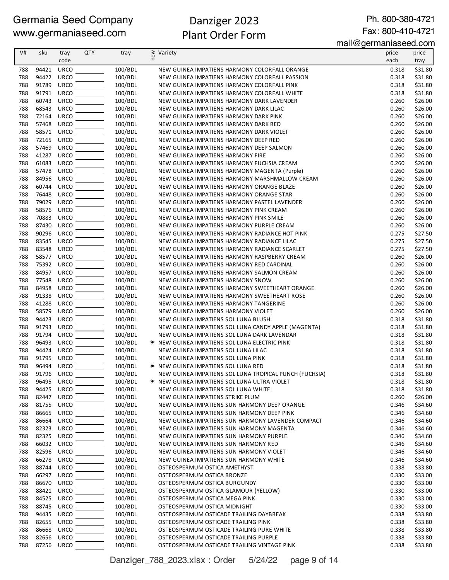# Danziger 2023 Plant Order Form

Ph. 800-380-4721 Fax: 800-410-4721

| V#  | sku   | tray        | QTY | tray    | § Variety<br>E                                         | price | price   |
|-----|-------|-------------|-----|---------|--------------------------------------------------------|-------|---------|
|     |       | code        |     |         |                                                        | each  | tray    |
| 788 | 94421 | <b>URCO</b> |     | 100/BDL | NEW GUINEA IMPATIENS HARMONY COLORFALL ORANGE          | 0.318 | \$31.80 |
| 788 | 94422 | <b>URCO</b> |     | 100/BDL | NEW GUINEA IMPATIENS HARMONY COLORFALL PASSION         | 0.318 | \$31.80 |
| 788 | 91789 | <b>URCO</b> |     | 100/BDL | NEW GUINEA IMPATIENS HARMONY COLORFALL PINK            | 0.318 | \$31.80 |
| 788 | 91791 | <b>URCO</b> |     | 100/BDL | NEW GUINEA IMPATIENS HARMONY COLORFALL WHITE           | 0.318 | \$31.80 |
| 788 | 60743 | <b>URCO</b> |     | 100/BDL | NEW GUINEA IMPATIENS HARMONY DARK LAVENDER             | 0.260 | \$26.00 |
| 788 | 68543 | <b>URCO</b> |     | 100/BDL | NEW GUINEA IMPATIENS HARMONY DARK LILAC                | 0.260 | \$26.00 |
| 788 | 72164 | <b>URCO</b> |     | 100/BDL | NEW GUINEA IMPATIENS HARMONY DARK PINK                 | 0.260 | \$26.00 |
| 788 | 57468 | <b>URCO</b> |     | 100/BDL | NEW GUINEA IMPATIENS HARMONY DARK RED                  | 0.260 | \$26.00 |
| 788 | 58571 | <b>URCO</b> |     | 100/BDL | NEW GUINEA IMPATIENS HARMONY DARK VIOLET               | 0.260 | \$26.00 |
| 788 | 72165 | <b>URCO</b> |     | 100/BDL | NEW GUINEA IMPATIENS HARMONY DEEP RED                  | 0.260 | \$26.00 |
| 788 | 57469 | <b>URCO</b> |     | 100/BDL | NEW GUINEA IMPATIENS HARMONY DEEP SALMON               | 0.260 | \$26.00 |
| 788 | 41287 | <b>URCO</b> |     | 100/BDL | NEW GUINEA IMPATIENS HARMONY FIRE                      | 0.260 | \$26.00 |
| 788 | 61083 | URCO        |     | 100/BDL | NEW GUINEA IMPATIENS HARMONY FUCHSIA CREAM             | 0.260 | \$26.00 |
| 788 | 57478 | <b>URCO</b> |     | 100/BDL | NEW GUINEA IMPATIENS HARMONY MAGENTA (Purple)          | 0.260 | \$26.00 |
| 788 | 84956 | <b>URCO</b> |     | 100/BDL | NEW GUINEA IMPATIENS HARMONY MARSHMALLOW CREAM         | 0.260 | \$26.00 |
| 788 | 60744 | <b>URCO</b> |     | 100/BDL | NEW GUINEA IMPATIENS HARMONY ORANGE BLAZE              | 0.260 | \$26.00 |
| 788 | 76448 | <b>URCO</b> |     | 100/BDL | NEW GUINEA IMPATIENS HARMONY ORANGE STAR               | 0.260 | \$26.00 |
| 788 | 79029 | <b>URCO</b> |     | 100/BDL | NEW GUINEA IMPATIENS HARMONY PASTEL LAVENDER           | 0.260 | \$26.00 |
| 788 | 58576 | <b>URCO</b> |     | 100/BDL | NEW GUINEA IMPATIENS HARMONY PINK CREAM                | 0.260 | \$26.00 |
| 788 | 70883 | URCO        |     | 100/BDL | NEW GUINEA IMPATIENS HARMONY PINK SMILE                | 0.260 | \$26.00 |
| 788 | 87430 | <b>URCO</b> |     | 100/BDL | NEW GUINEA IMPATIENS HARMONY PURPLE CREAM              | 0.260 | \$26.00 |
| 788 | 90296 | <b>URCO</b> |     | 100/BDL | NEW GUINEA IMPATIENS HARMONY RADIANCE HOT PINK         | 0.275 | \$27.50 |
| 788 | 83545 | <b>URCO</b> |     | 100/BDL | NEW GUINEA IMPATIENS HARMONY RADIANCE LILAC            | 0.275 | \$27.50 |
| 788 | 83548 | <b>URCO</b> |     | 100/BDL | NEW GUINEA IMPATIENS HARMONY RADIANCE SCARLET          | 0.275 | \$27.50 |
| 788 | 58577 | <b>URCO</b> |     | 100/BDL | NEW GUINEA IMPATIENS HARMONY RASPBERRY CREAM           | 0.260 | \$26.00 |
| 788 | 75392 | URCO        |     | 100/BDL | NEW GUINEA IMPATIENS HARMONY RED CARDINAL              | 0.260 | \$26.00 |
| 788 | 84957 | <b>URCO</b> |     | 100/BDL | NEW GUINEA IMPATIENS HARMONY SALMON CREAM              | 0.260 | \$26.00 |
| 788 | 77548 | <b>URCO</b> |     | 100/BDL | NEW GUINEA IMPATIENS HARMONY SNOW                      | 0.260 | \$26.00 |
| 788 | 84958 | <b>URCO</b> |     | 100/BDL | NEW GUINEA IMPATIENS HARMONY SWEETHEART ORANGE         | 0.260 | \$26.00 |
| 788 | 91338 | <b>URCO</b> |     | 100/BDL | NEW GUINEA IMPATIENS HARMONY SWEETHEART ROSE           | 0.260 | \$26.00 |
| 788 | 41288 | <b>URCO</b> |     | 100/BDL | NEW GUINEA IMPATIENS HARMONY TANGERINE                 | 0.260 | \$26.00 |
| 788 | 58579 | <b>URCO</b> |     | 100/BDL | NEW GUINEA IMPATIENS HARMONY VIOLET                    | 0.260 | \$26.00 |
| 788 | 94423 | <b>URCO</b> |     | 100/BDL | NEW GUINEA IMPATIENS SOL LUNA BLUSH                    | 0.318 | \$31.80 |
| 788 | 91793 | <b>URCO</b> |     | 100/BDL | NEW GUINEA IMPATIENS SOL LUNA CANDY APPLE (MAGENTA)    | 0.318 | \$31.80 |
| 788 | 91794 | <b>URCO</b> |     | 100/BDL | NEW GUINEA IMPATIENS SOL LUNA DARK LAVENDAR            | 0.318 | \$31.80 |
| 788 | 96493 | <b>URCO</b> |     | 100/BDL | <b>★ NEW GUINEA IMPATIENS SOL LUNA ELECTRIC PINK</b>   | 0.318 | \$31.80 |
| 788 | 94424 | <b>URCO</b> |     | 100/BDL | NEW GUINEA IMPATIENS SOL LUNA LILAC                    | 0.318 | \$31.80 |
| 788 | 91795 | <b>URCO</b> |     | 100/BDL | NEW GUINEA IMPATIENS SOL LUNA PINK                     | 0.318 | \$31.80 |
| 788 | 96494 | <b>URCO</b> |     | 100/BDL | ☀ NEW GUINEA IMPATIENS SOL LUNA RED                    | 0.318 | \$31.80 |
| 788 | 91796 | <b>URCO</b> |     | 100/BDL | NEW GUINEA IMPATIENS SOL LUNA TROPICAL PUNCH (FUCHSIA) | 0.318 | \$31.80 |
| 788 | 96495 | URCO        |     | 100/BDL | <b>★ NEW GUINEA IMPATIENS SOL LUNA ULTRA VIOLET</b>    | 0.318 | \$31.80 |
| 788 | 94425 | <b>URCO</b> |     | 100/BDL | NEW GUINEA IMPATIENS SOL LUNA WHITE                    | 0.318 | \$31.80 |
| 788 | 82447 | <b>URCO</b> |     | 100/BDL | NEW GUINEA IMPATIENS STRIKE PLUM                       | 0.260 | \$26.00 |
| 788 | 81755 | <b>URCO</b> |     | 100/BDL | NEW GUINEA IMPATIENS SUN HARMONY DEEP ORANGE           | 0.346 | \$34.60 |
| 788 | 86665 | <b>URCO</b> |     | 100/BDL | NEW GUINEA IMPATIENS SUN HARMONY DEEP PINK             | 0.346 | \$34.60 |
| 788 | 86664 | <b>URCO</b> |     | 100/BDL | NEW GUINEA IMPATIENS SUN HARMONY LAVENDER COMPACT      | 0.346 | \$34.60 |
| 788 | 82323 | <b>URCO</b> |     | 100/BDL | NEW GUINEA IMPATIENS SUN HARMONY MAGENTA               | 0.346 | \$34.60 |
| 788 | 82325 | URCO        |     | 100/BDL | NEW GUINEA IMPATIENS SUN HARMONY PURPLE                | 0.346 | \$34.60 |
| 788 | 66032 | URCO        |     | 100/BDL | NEW GUINEA IMPATIENS SUN HARMONY RED                   | 0.346 | \$34.60 |
| 788 | 82596 | <b>URCO</b> |     | 100/BDL | NEW GUINEA IMPATIENS SUN HARMONY VIOLET                | 0.346 | \$34.60 |
| 788 | 66278 | <b>URCO</b> |     | 100/BDL | NEW GUINEA IMPATIENS SUN HARMONY WHITE                 | 0.346 | \$34.60 |
| 788 | 88744 | <b>URCO</b> |     | 100/BDL | OSTEOSPERMUM OSTICA AMETHYST                           | 0.338 | \$33.80 |
| 788 | 66297 | <b>URCO</b> |     | 100/BDL | OSTEOSPERMUM OSTICA BRONZE                             | 0.330 | \$33.00 |
| 788 | 86670 | <b>URCO</b> |     | 100/BDL | OSTEOSPERMUM OSTICA BURGUNDY                           | 0.330 | \$33.00 |
| 788 | 88421 | <b>URCO</b> |     | 100/BDL | OSTEOSPERMUM OSTICA GLAMOUR (YELLOW)                   | 0.330 | \$33.00 |
| 788 | 84525 | <b>URCO</b> |     | 100/BDL | OSTEOSPERMUM OSTICA MEGA PINK                          | 0.330 | \$33.00 |
| 788 | 88745 | <b>URCO</b> |     | 100/BDL | OSTEOSPERMUM OSTICA MIDNIGHT                           | 0.330 | \$33.00 |
| 788 | 94435 | <b>URCO</b> |     | 100/BDL | OSTEOSPERMUM OSTICADE TRAILING DAYBREAK                | 0.338 | \$33.80 |
| 788 | 82655 | <b>URCO</b> |     | 100/BDL | OSTEOSPERMUM OSTICADE TRAILING PINK                    | 0.338 | \$33.80 |
| 788 | 86668 | <b>URCO</b> |     | 100/BDL | OSTEOSPERMUM OSTICADE TRAILING PURE WHITE              | 0.338 | \$33.80 |
| 788 | 82656 | <b>URCO</b> |     | 100/BDL | OSTEOSPERMUM OSTICADE TRAILING PURPLE                  | 0.338 | \$33.80 |
| 788 | 87256 | URCO        |     | 100/BDL | OSTEOSPERMUM OSTICADE TRAILING VINTAGE PINK            | 0.338 | \$33.80 |

Danziger\_788\_2023.xlsx : Order 5/24/22 page 9 of 14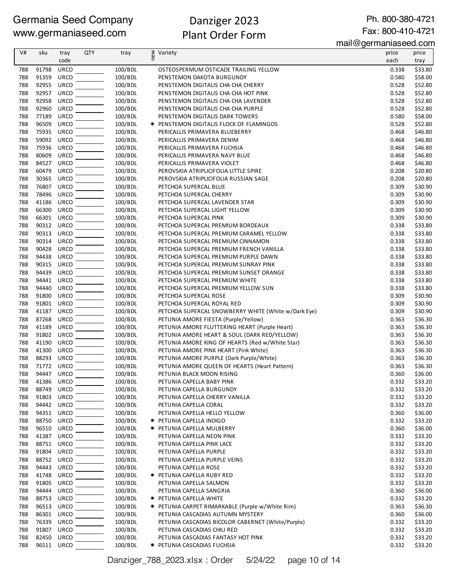# Danziger 2023 Plant Order Form

Ph. 800-380-4721 Fax: 800-410-4721

mail@germaniaseed.com

| V#         | sku                 | tray                       | <b>QTY</b> | tray               | $\epsilon$ | Variety                                                                                   | price          | price              |
|------------|---------------------|----------------------------|------------|--------------------|------------|-------------------------------------------------------------------------------------------|----------------|--------------------|
|            |                     | code                       |            |                    |            |                                                                                           | each           | tray               |
| 788        | 91798               | <b>URCO</b>                |            | 100/BDL            |            | OSTEOSPERMUM OSTICADE TRAILING YELLOW                                                     | 0.338          | \$33.80            |
| 788        | 91359               | <b>URCO</b>                |            | 100/BDL            |            | PENSTEMON DAKOTA BURGUNDY                                                                 | 0.580          | \$58.00            |
| 788<br>788 | 92955<br>92957      | <b>URCO</b><br>URCO        |            | 100/BDL<br>100/BDL |            | PENSTEMON DIGITALIS CHA CHA CHERRY                                                        | 0.528<br>0.528 | \$52.80<br>\$52.80 |
| 788        | 92958               | <b>URCO</b>                |            | 100/BDL            |            | PENSTEMON DIGITALIS CHA CHA HOT PINK<br>PENSTEMON DIGITALIS CHA CHA LAVENDER              | 0.528          | \$52.80            |
| 788        | 92960               | <b>URCO</b>                |            | 100/BDL            |            | PENSTEMON DIGITALIS CHA CHA PURPLE                                                        | 0.528          | \$52.80            |
| 788        | 77189               | <b>URCO</b>                |            | 100/BDL            |            | PENSTEMON DIGITALIS DARK TOWERS                                                           | 0.580          | \$58.00            |
| 788        | 96509               | <b>URCO</b>                |            | 100/BDL            |            | <b>★ PENSTEMON DIGITALIS FLOCK OF FLAMINGOS</b>                                           | 0.528          | \$52.80            |
| 788        | 75935 URCO          |                            |            | 100/BDL            |            | PERICALLIS PRIMAVERA BLUEBERRY                                                            | 0.468          | \$46.80            |
| 788        | 59092               | <b>URCO</b>                |            | 100/BDL            |            | PERICALLIS PRIMAVERA DENIM                                                                | 0.468          | \$46.80            |
| 788        | 75936               | <b>URCO</b>                |            | 100/BDL            |            | PERICALLIS PRIMAVERA FUCHSIA                                                              | 0.468          | \$46.80            |
| 788        | 80609               | <b>URCO</b>                |            | 100/BDL            |            | PERICALLIS PRIMAVERA NAVY BLUE                                                            | 0.468          | \$46.80            |
| 788        | 84527               | <b>URCO</b>                |            | 100/BDL            |            | PERICALLIS PRIMAVERA VIOLET                                                               | 0.468          | \$46.80            |
| 788        | 60479               | <b>URCO</b>                |            | 100/BDL            |            | PEROVSKIA ATRIPLICIFOLIA LITTLE SPIRE                                                     | 0.208          | \$20.80            |
| 788        | 30365               | URCO                       |            | 100/BDL            |            | PEROVSKIA ATRIPLICIFOLIA RUSSIAN SAGE                                                     | 0.208          | \$20.80            |
| 788        | 76807               | <b>URCO</b>                |            | 100/BDL            |            | PETCHOA SUPERCAL BLUE                                                                     | 0.309          | \$30.90            |
| 788        | 78496               | <b>URCO</b>                |            | 100/BDL            |            | PETCHOA SUPERCAL CHERRY                                                                   | 0.309          | \$30.90            |
| 788        | 41186               | <b>URCO</b>                |            | 100/BDL            |            | PETCHOA SUPERCAL LAVENDER STAR                                                            | 0.309          | \$30.90            |
| 788        | 66300               | <b>URCO</b>                |            | 100/BDL            |            | PETCHOA SUPERCAL LIGHT YELLOW                                                             | 0.309          | \$30.90            |
| 788        | 66301 URCO          |                            |            | 100/BDL            |            | PETCHOA SUPERCAL PINK                                                                     | 0.309          | \$30.90            |
| 788<br>788 | 90312 URCO<br>90313 | <b>URCO</b>                |            | 100/BDL<br>100/BDL |            | PETCHOA SUPERCAL PREMIUM BORDEAUX<br>PETCHOA SUPERCAL PREMIUM CARAMEL YELLOW              | 0.338<br>0.338 | \$33.80<br>\$33.80 |
| 788        | 90314               | <b>URCO</b>                |            | 100/BDL            |            | PETCHOA SUPERCAL PREMIUM CINNAMON                                                         | 0.338          | \$33.80            |
| 788        | 90428               | <b>URCO</b>                |            | 100/BDL            |            | PETCHOA SUPERCAL PREMIUM FRENCH VANILLA                                                   | 0.338          | \$33.80            |
| 788        | 94438               | <b>URCO</b>                |            | 100/BDL            |            | PETCHOA SUPERCAL PREMIUM PURPLE DAWN                                                      | 0.338          | \$33.80            |
| 788        | 90315               | URCO                       |            | 100/BDL            |            | PETCHOA SUPERCAL PREMIUM SUNRAY PINK                                                      | 0.338          | \$33.80            |
| 788        | 94439               | <b>URCO</b>                |            | 100/BDL            |            | PETCHOA SUPERCAL PREMIUM SUNSET ORANGE                                                    | 0.338          | \$33.80            |
| 788        | 94441               | <b>URCO</b>                |            | 100/BDL            |            | PETCHOA SUPERCAL PREMIUM WHITE                                                            | 0.338          | \$33.80            |
| 788        | 94440               | URCO                       |            | 100/BDL            |            | PETCHOA SUPERCAL PREMIUM YELLOW SUN                                                       | 0.338          | \$33.80            |
| 788        | 91800               | <b>URCO</b>                |            | 100/BDL            |            | PETCHOA SUPERCAL ROSE                                                                     | 0.309          | \$30.90            |
| 788        | 91801               | <b>URCO</b>                |            | 100/BDL            |            | PETCHOA SUPERCAL ROYAL RED                                                                | 0.309          | \$30.90            |
| 788        | 41187               | <b>URCO</b>                |            | 100/BDL            |            | PETCHOA SUPERCAL SNOWBERRY WHITE (White w/Dark Eye)                                       | 0.309          | \$30.90            |
| 788        | 87268               | URCO                       |            | 100/BDL            |            | PETUNIA AMORE FIESTA (Purple/Yellow)                                                      | 0.363          | \$36.30            |
| 788        | 41189               | <b>URCO</b>                |            | 100/BDL            |            | PETUNIA AMORE FLUTTERING HEART (Purple Heart)                                             | 0.363          | \$36.30            |
| 788        | 91802               | <b>URCO</b>                |            | 100/BDL            |            | PETUNIA AMORE HEART & SOUL (DARK RED/YELLOW)                                              | 0.363          | \$36.30            |
| 788        | 41190 URCO          |                            |            | 100/BDL            |            | PETUNIA AMORE KING OF HEARTS (Red w/White Star)                                           | 0.363          | \$36.30            |
| 788        | 41300<br>88293      | <b>URCO</b><br><b>URCO</b> |            | 100/BDL<br>100/BDL |            | PETUNIA AMORE PINK HEART (Pink White)                                                     | 0.363          | \$36.30            |
| 788<br>788 | 71772 URCO          |                            |            | 100/BDL            |            | PETUNIA AMORE PURPLE (Dark Purple/White)<br>PETUNIA AMORE QUEEN OF HEARTS (Heart Pattern) | 0.363<br>0.363 | \$36.30<br>\$36.30 |
| 788        | 94447 URCO          |                            |            | 100/BDL            |            | PETUNIA BLACK MOON RISING                                                                 | 0.360          | \$36.00            |
| 788        | 41386               | URCO                       |            | 100/BDL            |            | PETUNIA CAPELLA BABY PINK                                                                 | 0.332          | \$33.20            |
| 788        | 88749               | <b>URCO</b>                |            | 100/BDL            |            | PETUNIA CAPELLA BURGUNDY                                                                  | 0.332          | \$33.20            |
| 788        | 91803               | <b>URCO</b>                |            | 100/BDL            |            | PETUNIA CAPELLA CHERRY VANILLA                                                            | 0.332          | \$33.20            |
| 788        | 94442               | URCO                       |            | 100/BDL            |            | PETUNIA CAPELLA CORAL                                                                     | 0.332          | \$33.20            |
| 788        | 94351 URCO          |                            |            | 100/BDL            |            | PETUNIA CAPELLA HELLO YELLOW                                                              | 0.360          | \$36.00            |
| 788        | 88750               | URCO                       |            | 100/BDL            |            | * PETUNIA CAPELLA INDIGO                                                                  | 0.332          | \$33.20            |
| 788        | 96510 URCO          |                            |            | 100/BDL            |            | <b>* PETUNIA CAPELLA MULBERRY</b>                                                         | 0.360          | \$36.00            |
| 788        | 41387 URCO          |                            |            | 100/BDL            |            | PETUNIA CAPELLA NEON PINK                                                                 | 0.332          | \$33.20            |
| 788        | 88751 URCO          |                            |            | 100/BDL            |            | PETUNIA CAPELLA PINK LACE                                                                 | 0.332          | \$33.20            |
| 788        | 91804               | <b>URCO</b>                |            | 100/BDL            |            | PETUNIA CAPELLA PURPLE                                                                    | 0.332          | \$33.20            |
| 788        | 88752 URCO          |                            |            | 100/BDL            |            | PETUNIA CAPELLA PURPLE VEINS                                                              | 0.332          | \$33.20            |
| 788        | 94443               | <b>URCO</b>                |            | 100/BDL            |            | PETUNIA CAPELLA ROSE                                                                      | 0.332          | \$33.20            |
| 788        | 41748<br>91805      | <b>URCO</b><br><b>URCO</b> |            | 100/BDL            |            | <b>★ PETUNIA CAPELLA RUBY RED</b>                                                         | 0.332<br>0.332 | \$33.20            |
| 788        | 94444               | <b>URCO</b>                |            | 100/BDL            |            | PETUNIA CAPELLA SALMON                                                                    |                | \$33.20            |
| 788<br>788 | 88753               | URCO                       |            | 100/BDL<br>100/BDL |            | PETUNIA CAPELLA SANGRIA<br><b>*</b> PETUNIA CAPELLA WHITE                                 | 0.360<br>0.332 | \$36.00<br>\$33.20 |
| 788        | 96513               | <b>URCO</b>                |            | 100/BDL            |            | * PETUNIA CARPET RIMARKABLE (Purple w/White Rim)                                          | 0.363          | \$36.30            |
| 788        | 86301 URCO          |                            |            | 100/BDL            |            | PETUNIA CASCADIAS AUTUMN MYSTERY                                                          | 0.360          | \$36.00            |
| 788        | 76339               | URCO                       |            | 100/BDL            |            | PETUNIA CASCADIAS BICOLOR CABERNET (White/Purple)                                         | 0.332          | \$33.20            |
| 788        | 91807               | URCO                       |            | 100/BDL            |            | PETUNIA CASCADIAS CHILI RED                                                               | 0.332          | \$33.20            |
| 788        | 82450               | URCO                       |            | 100/BDL            |            | PETUNIA CASCADIAS FANTASY HOT PINK                                                        | 0.332          | \$33.20            |
| 788        | 96511               | URCO                       |            | 100/BDL            |            | * PETUNIA CASCADIAS FUCHSIA                                                               | 0.332          | \$33.20            |

Danziger\_788\_2023.xlsx : Order 5/24/22 page 10 of 14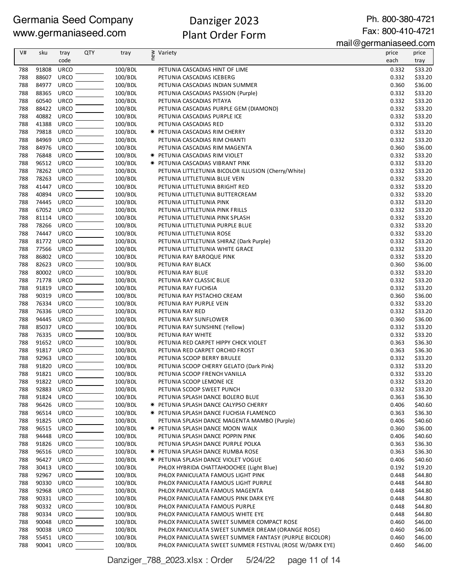# Danziger 2023 Plant Order Form

Ph. 800-380-4721 Fax: 800-410-4721

mail@germaniaseed.com

|     |       |             |            |         |     |                                                          | $\frac{1}{2}$ lilai $\frac{1}{2}$ lilai $\frac{1}{2}$ lailaiseeu.com |         |
|-----|-------|-------------|------------|---------|-----|----------------------------------------------------------|----------------------------------------------------------------------|---------|
| V#  | sku   | tray        | <b>QTY</b> | tray    | new | Variety                                                  | price                                                                | price   |
|     |       | code        |            |         |     |                                                          | each                                                                 | tray    |
| 788 | 91808 | <b>URCO</b> |            | 100/BDL |     | PETUNIA CASCADIAS HINT OF LIME                           | 0.332                                                                | \$33.20 |
| 788 | 88607 | <b>URCO</b> |            | 100/BDL |     | PETUNIA CASCADIAS ICEBERG                                | 0.332                                                                | \$33.20 |
| 788 | 84977 | <b>URCO</b> |            | 100/BDL |     | PETUNIA CASCADIAS INDIAN SUMMER                          | 0.360                                                                | \$36.00 |
| 788 | 88365 | <b>URCO</b> |            | 100/BDL |     | PETUNIA CASCADIAS PASSION (Purple)                       | 0.332                                                                | \$33.20 |
| 788 | 60540 | <b>URCO</b> |            | 100/BDL |     | PETUNIA CASCADIAS PITAYA                                 | 0.332                                                                | \$33.20 |
| 788 | 88422 | URCO        |            | 100/BDL |     | PETUNIA CASCADIAS PURPLE GEM (DIAMOND)                   | 0.332                                                                | \$33.20 |
| 788 | 40882 | <b>URCO</b> |            | 100/BDL |     | PETUNIA CASCADIAS PURPLE ICE                             | 0.332                                                                | \$33.20 |
| 788 | 41388 | <b>URCO</b> |            | 100/BDL |     | PETUNIA CASCADIAS RED                                    | 0.332                                                                | \$33.20 |
| 788 | 79818 | URCO        |            | 100/BDL |     | <b>★ PETUNIA CASCADIAS RIM CHERRY</b>                    | 0.332                                                                | \$33.20 |
| 788 | 84969 | <b>URCO</b> |            | 100/BDL |     | PETUNIA CASCADIAS RIM CHIANTI                            | 0.332                                                                | \$33.20 |
| 788 | 84976 | <b>URCO</b> |            | 100/BDL |     | PETUNIA CASCADIAS RIM MAGENTA                            | 0.360                                                                | \$36.00 |
| 788 | 76848 | <b>URCO</b> |            | 100/BDL |     | * PETUNIA CASCADIAS RIM VIOLET                           | 0.332                                                                | \$33.20 |
| 788 | 96512 | <b>URCO</b> |            | 100/BDL |     | * PETUNIA CASCADIAS VIBRANT PINK                         | 0.332                                                                | \$33.20 |
| 788 | 78262 | URCO        |            | 100/BDL |     | PETUNIA LITTLETUNIA BICOLOR ILLUSION (Cherry/White)      | 0.332                                                                | \$33.20 |
| 788 | 78263 | <b>URCO</b> |            | 100/BDL |     | PETUNIA LITTLETUNIA BLUE VEIN                            | 0.332                                                                | \$33.20 |
| 788 | 41447 | <b>URCO</b> |            | 100/BDL |     | PETUNIA LITTLETUNIA BRIGHT RED                           | 0.332                                                                | \$33.20 |
| 788 | 40894 | <b>URCO</b> |            | 100/BDL |     | PETUNIA LITTLETUNIA BUTTERCREAM                          | 0.332                                                                | \$33.20 |
| 788 | 74445 | <b>URCO</b> |            | 100/BDL |     | PETUNIA LITTLETUNIA PINK                                 | 0.332                                                                | \$33.20 |
| 788 | 67052 | <b>URCO</b> |            | 100/BDL |     | PETUNIA LITTLETUNIA PINK FRILLS                          | 0.332                                                                | \$33.20 |
|     |       |             |            |         |     |                                                          |                                                                      |         |
| 788 | 81114 | <b>URCO</b> |            | 100/BDL |     | PETUNIA LITTLETUNIA PINK SPLASH                          | 0.332                                                                | \$33.20 |
| 788 | 78266 | <b>URCO</b> |            | 100/BDL |     | PETUNIA LITTLETUNIA PURPLE BLUE                          | 0.332                                                                | \$33.20 |
| 788 | 74447 | URCO        |            | 100/BDL |     | PETUNIA LITTLETUNIA ROSE                                 | 0.332                                                                | \$33.20 |
| 788 | 81772 | <b>URCO</b> |            | 100/BDL |     | PETUNIA LITTLETUNIA SHIRAZ (Dark Purple)                 | 0.332                                                                | \$33.20 |
| 788 | 77566 | URCO        |            | 100/BDL |     | PETUNIA LITTLETUNIA WHITE GRACE                          | 0.332                                                                | \$33.20 |
| 788 | 86802 | <b>URCO</b> |            | 100/BDL |     | PETUNIA RAY BAROQUE PINK                                 | 0.332                                                                | \$33.20 |
| 788 | 82623 | <b>URCO</b> |            | 100/BDL |     | PETUNIA RAY BLACK                                        | 0.360                                                                | \$36.00 |
| 788 | 80002 | <b>URCO</b> |            | 100/BDL |     | PETUNIA RAY BLUE                                         | 0.332                                                                | \$33.20 |
| 788 | 71778 | <b>URCO</b> |            | 100/BDL |     | PETUNIA RAY CLASSIC BLUE                                 | 0.332                                                                | \$33.20 |
| 788 | 91819 | <b>URCO</b> |            | 100/BDL |     | PETUNIA RAY FUCHSIA                                      | 0.332                                                                | \$33.20 |
| 788 | 90319 | <b>URCO</b> |            | 100/BDL |     | PETUNIA RAY PISTACHIO CREAM                              | 0.360                                                                | \$36.00 |
| 788 | 76334 | <b>URCO</b> |            | 100/BDL |     | PETUNIA RAY PURPLE VEIN                                  | 0.332                                                                | \$33.20 |
| 788 | 76336 | <b>URCO</b> |            | 100/BDL |     | PETUNIA RAY RED                                          | 0.332                                                                | \$33.20 |
| 788 | 94445 | <b>URCO</b> |            | 100/BDL |     | PETUNIA RAY SUNFLOWER                                    | 0.360                                                                | \$36.00 |
| 788 | 85037 | <b>URCO</b> |            | 100/BDL |     | PETUNIA RAY SUNSHINE (Yellow)                            | 0.332                                                                | \$33.20 |
| 788 | 76335 | <b>URCO</b> |            | 100/BDL |     | PETUNIA RAY WHITE                                        | 0.332                                                                | \$33.20 |
| 788 | 91652 | URCO        |            | 100/BDL |     | PETUNIA RED CARPET HIPPY CHICK VIOLET                    | 0.363                                                                | \$36.30 |
| 788 | 91817 | <b>URCO</b> |            | 100/BDL |     | PETUNIA RED CARPET ORCHID FROST                          | 0.363                                                                | \$36.30 |
| 788 | 92963 | <b>URCO</b> |            | 100/BDL |     | PETUNIA SCOOP BERRY BRULEE                               | 0.332                                                                | \$33.20 |
| 788 | 91820 | URCO        |            | 100/BDL |     | PETUNIA SCOOP CHERRY GELATO (Dark Pink)                  | 0.332                                                                | \$33.20 |
| 788 | 91821 | URCO        |            | 100/BDL |     | PETUNIA SCOOP FRENCH VANILLA                             | 0.332                                                                | \$33.20 |
| 788 | 91822 | URCO        |            | 100/BDL |     | PETUNIA SCOOP LEMONE ICE                                 | 0.332                                                                | \$33.20 |
| 788 | 92883 | <b>URCO</b> |            | 100/BDL |     | PETUNIA SCOOP SWEET PUNCH                                | 0.332                                                                | \$33.20 |
| 788 | 91824 | URCO        |            | 100/BDL |     | PETUNIA SPLASH DANCE BOLERO BLUE                         | 0.363                                                                | \$36.30 |
| 788 | 96426 | <b>URCO</b> |            | 100/BDL |     | <b>* PETUNIA SPLASH DANCE CALYPSO CHERRY</b>             | 0.406                                                                | \$40.60 |
| 788 | 96514 | URCO        |            | 100/BDL |     | * PETUNIA SPLASH DANCE FUCHSIA FLAMENCO                  | 0.363                                                                | \$36.30 |
| 788 | 91825 | <b>URCO</b> |            | 100/BDL |     | PETUNIA SPLASH DANCE MAGENTA MAMBO (Purple)              | 0.406                                                                | \$40.60 |
| 788 | 96515 | <b>URCO</b> |            | 100/BDL |     | * PETUNIA SPLASH DANCE MOON WALK                         | 0.360                                                                | \$36.00 |
| 788 | 94448 | <b>URCO</b> |            | 100/BDL |     | PETUNIA SPLASH DANCE POPPIN PINK                         | 0.406                                                                | \$40.60 |
| 788 | 91826 | <b>URCO</b> |            | 100/BDL |     | PETUNIA SPLASH DANCE PURPLE POLKA                        | 0.363                                                                | \$36.30 |
| 788 | 96516 | <b>URCO</b> |            | 100/BDL |     | <b>★ PETUNIA SPLASH DANCE RUMBA ROSE</b>                 | 0.363                                                                | \$36.30 |
| 788 | 96427 | <b>URCO</b> |            | 100/BDL |     | <b>★ PETUNIA SPLASH DANCE VIOLET VOGUE</b>               | 0.406                                                                | \$40.60 |
| 788 | 30413 | URCO        |            | 100/BDL |     | PHLOX HYBRIDA CHATTAHOOCHEE (Light Blue)                 | 0.192                                                                | \$19.20 |
| 788 | 92967 | <b>URCO</b> |            | 100/BDL |     | PHLOX PANICULATA FAMOUS LIGHT PINK                       | 0.448                                                                | \$44.80 |
| 788 | 90330 | URCO        |            | 100/BDL |     | PHLOX PANICULATA FAMOUS LIGHT PURPLE                     | 0.448                                                                | \$44.80 |
| 788 | 92968 | <b>URCO</b> |            | 100/BDL |     | PHLOX PANICULATA FAMOUS MAGENTA                          | 0.448                                                                | \$44.80 |
| 788 | 90331 | <b>URCO</b> |            | 100/BDL |     | PHLOX PANICULATA FAMOUS PINK DARK EYE                    | 0.448                                                                | \$44.80 |
| 788 | 90332 | <b>URCO</b> |            | 100/BDL |     | PHLOX PANICULATA FAMOUS PURPLE                           | 0.448                                                                | \$44.80 |
| 788 | 90334 | <b>URCO</b> |            | 100/BDL |     | PHLOX PANICULATA FAMOUS WHITE EYE                        | 0.448                                                                | \$44.80 |
| 788 | 90048 | URCO        |            | 100/BDL |     | PHLOX PANICULATA SWEET SUMMER COMPACT ROSE               | 0.460                                                                | \$46.00 |
| 788 | 90038 | <b>URCO</b> |            | 100/BDL |     | PHLOX PANICULATA SWEET SUMMER DREAM (ORANGE ROSE)        | 0.460                                                                | \$46.00 |
| 788 | 55451 | URCO        |            | 100/BDL |     | PHLOX PANICULATA SWEET SUMMER FANTASY (PURPLE BICOLOR)   | 0.460                                                                | \$46.00 |
| 788 | 90041 | URCO        |            | 100/BDL |     | PHLOX PANICULATA SWEET SUMMER FESTIVAL (ROSE W/DARK EYE) | 0.460                                                                | \$46.00 |
|     |       |             |            |         |     |                                                          |                                                                      |         |

Danziger\_788\_2023.xlsx : Order 5/24/22 page 11 of 14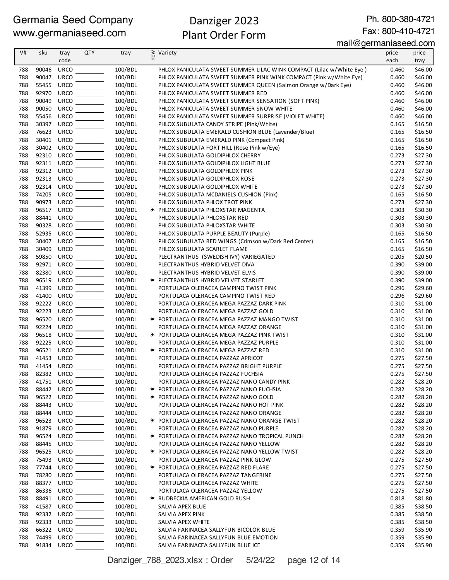# Danziger 2023 Plant Order Form

Ph. 800-380-4721 Fax: 800-410-4721

mail@germaniaseed.com

| V#         | sku            | tray                       | <b>QTY</b> | tray               | new | Variety                                                                                           | price          | price              |
|------------|----------------|----------------------------|------------|--------------------|-----|---------------------------------------------------------------------------------------------------|----------------|--------------------|
|            |                | code                       |            |                    |     |                                                                                                   | each           | tray               |
| 788        | 90046          | <b>URCO</b>                |            | 100/BDL            |     | PHLOX PANICULATA SWEET SUMMER LILAC WINK COMPACT (Lilac w/White Eye)                              | 0.460          | \$46.00            |
| 788        | 90047          | <b>URCO</b>                |            | 100/BDL            |     | PHLOX PANICULATA SWEET SUMMER PINK WINK COMPACT (Pink w/White Eye)                                | 0.460          | \$46.00            |
| 788        | 55455          | <b>URCO</b>                |            | 100/BDL            |     | PHLOX PANICULATA SWEET SUMMER QUEEN (Salmon Orange w/Dark Eye)                                    | 0.460          | \$46.00            |
| 788        | 92970          | <b>URCO</b>                |            | 100/BDL            |     | PHLOX PANICULATA SWEET SUMMER RED                                                                 | 0.460          | \$46.00            |
| 788<br>788 | 90049          | <b>URCO</b><br><b>URCO</b> |            | 100/BDL            |     | PHLOX PANICULATA SWEET SUMMER SENSATION (SOFT PINK)                                               | 0.460          | \$46.00            |
| 788        | 90050<br>55456 | <b>URCO</b>                |            | 100/BDL<br>100/BDL |     | PHLOX PANICULATA SWEET SUMMER SNOW WHITE<br>PHLOX PANICULATA SWEET SUMMER SURPRISE (VIOLET WHITE) | 0.460<br>0.460 | \$46.00<br>\$46.00 |
| 788        | 30397          | <b>URCO</b>                |            | 100/BDL            |     | PHLOX SUBULATA CANDY STRIPE (Pink/White)                                                          | 0.165          | \$16.50            |
| 788        | 76623          | <b>URCO</b>                |            | 100/BDL            |     | PHLOX SUBULATA EMERALD CUSHION BLUE (Lavender/Blue)                                               | 0.165          | \$16.50            |
| 788        | 30401 URCO     |                            |            | 100/BDL            |     | PHLOX SUBULATA EMERALD PINK (Compact Pink)                                                        | 0.165          | \$16.50            |
| 788        | 30402          | <b>URCO</b>                |            | 100/BDL            |     | PHLOX SUBULATA FORT HILL (Rose Pink w/Eye)                                                        | 0.165          | \$16.50            |
| 788        | 92310          | <b>URCO</b>                |            | 100/BDL            |     | PHLOX SUBULATA GOLDIPHLOX CHERRY                                                                  | 0.273          | \$27.30            |
| 788        | 92311 URCO     |                            |            | 100/BDL            |     | PHLOX SUBULATA GOLDIPHLOX LIGHT BLUE                                                              | 0.273          | \$27.30            |
| 788        | 92312          | <b>URCO</b>                |            | 100/BDL            |     | PHLOX SUBULATA GOLDIPHLOX PINK                                                                    | 0.273          | \$27.30            |
| 788        | 92313          | <b>URCO</b>                |            | 100/BDL            |     | PHLOX SUBULATA GOLDIPHLOX ROSE                                                                    | 0.273          | \$27.30            |
| 788        | 92314          | <b>URCO</b>                |            | 100/BDL            |     | PHLOX SUBULATA GOLDIPHLOX WHITE                                                                   | 0.273          | \$27.30            |
| 788        | 74205          | <b>URCO</b>                |            | 100/BDL            |     | PHLOX SUBULATA MCDANIELS CUSHION (Pink)                                                           | 0.165          | \$16.50            |
| 788<br>788 | 90973<br>96517 | <b>URCO</b><br>URCO        |            | 100/BDL            |     | PHLOX SUBULATA PHLOX TROT PINK<br>* PHLOX SUBULATA PHLOXSTAR MAGENTA                              | 0.273<br>0.303 | \$27.30<br>\$30.30 |
| 788        | 88441          | <b>URCO</b>                |            | 100/BDL<br>100/BDL |     | PHLOX SUBULATA PHLOXSTAR RED                                                                      | 0.303          | \$30.30            |
| 788        | 90328          | <b>URCO</b>                |            | 100/BDL            |     | PHLOX SUBULATA PHLOXSTAR WHITE                                                                    | 0.303          | \$30.30            |
| 788        | 52935          | <b>URCO</b>                |            | 100/BDL            |     | PHLOX SUBULATA PURPLE BEAUTY (Purple)                                                             | 0.165          | \$16.50            |
| 788        | 30407          | <b>URCO</b>                |            | 100/BDL            |     | PHLOX SUBULATA RED WINGS (Crimson w/Dark Red Center)                                              | 0.165          | \$16.50            |
| 788        | 30409          | <b>URCO</b>                |            | 100/BDL            |     | PHLOX SUBULATA SCARLET FLAME                                                                      | 0.165          | \$16.50            |
| 788        | 59850          | <b>URCO</b>                |            | 100/BDL            |     | PLECTRANTHUS (SWEDISH IVY) VARIEGATED                                                             | 0.205          | \$20.50            |
| 788        | 92971          | <b>URCO</b>                |            | 100/BDL            |     | PLECTRANTHUS HYBRID VELVET DIVA                                                                   | 0.390          | \$39.00            |
| 788        | 82380          | <b>URCO</b>                |            | 100/BDL            |     | PLECTRANTHUS HYBRID VELVET ELVIS                                                                  | 0.390          | \$39.00            |
| 788        | 96519          | <b>URCO</b>                |            | 100/BDL            |     | <b>* PLECTRANTHUS HYBRID VELVET STARLET</b>                                                       | 0.390          | \$39.00            |
| 788        | 41399          | <b>URCO</b>                |            | 100/BDL            |     | PORTULACA OLERACEA CAMPINO TWIST PINK                                                             | 0.296          | \$29.60            |
| 788        | 41400          | <b>URCO</b>                |            | 100/BDL            |     | PORTULACA OLERACEA CAMPINO TWIST RED                                                              | 0.296          | \$29.60            |
| 788        | 92222          | <b>URCO</b>                |            | 100/BDL            |     | PORTULACA OLERACEA MEGA PAZZAZ DARK PINK                                                          | 0.310          | \$31.00            |
| 788        | 92223          | <b>URCO</b>                |            | 100/BDL            |     | PORTULACA OLERACEA MEGA PAZZAZ GOLD                                                               | 0.310          | \$31.00            |
| 788<br>788 | 96520<br>92224 | <b>URCO</b><br><b>URCO</b> |            | 100/BDL            |     | <b>★ PORTULACA OLERACEA MEGA PAZZAZ MANGO TWIST</b>                                               | 0.310          | \$31.00            |
| 788        | 96518          | <b>URCO</b>                |            | 100/BDL<br>100/BDL |     | PORTULACA OLERACEA MEGA PAZZAZ ORANGE                                                             | 0.310<br>0.310 | \$31.00<br>\$31.00 |
| 788        | 92225          | URCO                       |            | 100/BDL            |     | <b>* PORTULACA OLERACEA MEGA PAZZAZ PINK TWIST</b><br>PORTULACA OLERACEA MEGA PAZZAZ PURPLE       | 0.310          | \$31.00            |
| 788        | 96521 URCO     |                            |            | 100/BDL            |     | <b>★ PORTULACA OLERACEA MEGA PAZZAZ RED</b>                                                       | 0.310          | \$31.00            |
| 788        | 41453          | <b>URCO</b>                |            | 100/BDL            |     | PORTULACA OLERACEA PAZZAZ APRICOT                                                                 | 0.275          | \$27.50            |
| 788        | 41454 URCO     |                            |            | 100/BDL            |     | PORTULACA OLERACEA PAZZAZ BRIGHT PURPLE                                                           | 0.275          | \$27.50            |
| 788        | 82382 URCO     |                            |            | 100/BDL            |     | PORTULACA OLERACEA PAZZAZ FUCHSIA                                                                 | 0.275          | \$27.50            |
| 788        | 41751 URCO     |                            |            | 100/BDL            |     | PORTULACA OLERACEA PAZZAZ NANO CANDY PINK                                                         | 0.282          | \$28.20            |
| 788        | 88442 URCO     |                            |            | 100/BDL            |     | * PORTULACA OLERACEA PAZZAZ NANO FUCHSIA                                                          | 0.282          | \$28.20            |
| 788        | 96522          | <b>URCO</b>                |            | 100/BDL            |     | * PORTULACA OLERACEA PAZZAZ NANO GOLD                                                             | 0.282          | \$28.20            |
| 788        | 88443          | <b>URCO</b>                |            | 100/BDL            |     | PORTULACA OLERACEA PAZZAZ NANO HOT PINK                                                           | 0.282          | \$28.20            |
| 788        | 88444          | <b>URCO</b>                |            | 100/BDL            |     | PORTULACA OLERACEA PAZZAZ NANO ORANGE                                                             | 0.282          | \$28.20            |
| 788        | 96523          | <b>URCO</b>                |            | 100/BDL            |     | <b>★ PORTULACA OLERACEA PAZZAZ NANO ORANGE TWIST</b>                                              | 0.282          | \$28.20            |
| 788        | 91879          | <b>URCO</b>                |            | 100/BDL            |     | PORTULACA OLERACEA PAZZAZ NANO PURPLE                                                             | 0.282          | \$28.20            |
| 788        | 96524          | <b>URCO</b>                |            | 100/BDL            |     | * PORTULACA OLERACEA PAZZAZ NANO TROPICAL PUNCH                                                   | 0.282          | \$28.20            |
| 788        | 88445          | <b>URCO</b>                |            | 100/BDL            |     | PORTULACA OLERACEA PAZZAZ NANO YELLOW                                                             | 0.282          | \$28.20            |
| 788<br>788 | 96525<br>75493 | URCO<br><b>URCO</b>        |            | 100/BDL<br>100/BDL |     | <b>* PORTULACA OLERACEA PAZZAZ NANO YELLOW TWIST</b><br>PORTULACA OLERACEA PAZZAZ PINK GLOW       | 0.282<br>0.275 | \$28.20<br>\$27.50 |
| 788        | 77744          | <b>URCO</b>                |            | 100/BDL            |     | <b>* PORTULACA OLERACEA PAZZAZ RED FLARE</b>                                                      | 0.275          | \$27.50            |
| 788        | 78280          | <b>URCO</b>                |            | 100/BDL            |     | PORTULACA OLERACEA PAZZAZ TANGERINE                                                               | 0.275          | \$27.50            |
| 788        | 88377          | <b>URCO</b>                |            | 100/BDL            |     | PORTULACA OLERACEA PAZZAZ WHITE                                                                   | 0.275          | \$27.50            |
| 788        | 86336          | <b>URCO</b>                |            | 100/BDL            |     | PORTULACA OLERACEA PAZZAZ YELLOW                                                                  | 0.275          | \$27.50            |
| 788        | 88491          | <b>URCO</b>                |            | 100/BDL            |     | <b>★ RUDBECKIA AMERICAN GOLD RUSH</b>                                                             | 0.818          | \$81.80            |
| 788        | 41587          | <b>URCO</b>                |            | 100/BDL            |     | SALVIA APEX BLUE                                                                                  | 0.385          | \$38.50            |
| 788        | 92332          | <b>URCO</b>                |            | 100/BDL            |     | SALVIA APEX PINK                                                                                  | 0.385          | \$38.50            |
| 788        | 92333          | URCO                       |            | 100/BDL            |     | SALVIA APEX WHITE                                                                                 | 0.385          | \$38.50            |
| 788        | 66322          | <b>URCO</b>                |            | 100/BDL            |     | SALVIA FARINACEA SALLYFUN BICOLOR BLUE                                                            | 0.359          | \$35.90            |
| 788        | 74499          | <b>URCO</b>                |            | 100/BDL            |     | SALVIA FARINACEA SALLYFUN BLUE EMOTION                                                            | 0.359          | \$35.90            |
| 788        | 91834          | URCO                       |            | 100/BDL            |     | SALVIA FARINACEA SALLYFUN BLUE ICE                                                                | 0.359          | \$35.90            |

Danziger\_788\_2023.xlsx : Order 5/24/22 page 12 of 14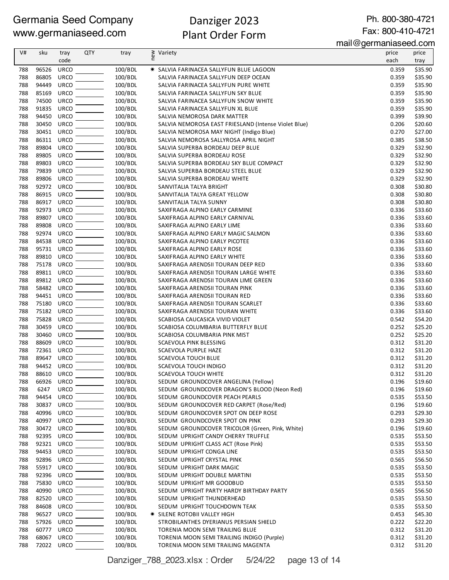# Danziger 2023 Plant Order Form

Ph. 800-380-4721 Fax: 800-410-4721

mail@germaniaseed.com

| V#         | sku            | tray<br>code        | <b>QTY</b> | tray               | ≷ Variety<br>E                                                                        | price<br>each  | price<br>tray      |
|------------|----------------|---------------------|------------|--------------------|---------------------------------------------------------------------------------------|----------------|--------------------|
|            |                |                     |            |                    |                                                                                       |                |                    |
| 788        | 96526          | <b>URCO</b>         |            | 100/BDL            | * SALVIA FARINACEA SALLYFUN BLUE LAGOON                                               | 0.359          | \$35.90            |
| 788<br>788 | 86805<br>94449 | URCO<br><b>URCO</b> |            | 100/BDL<br>100/BDL | SALVIA FARINACEA SALLYFUN DEEP OCEAN<br>SALVIA FARINACEA SALLYFUN PURE WHITE          | 0.359<br>0.359 | \$35.90<br>\$35.90 |
| 788        | 85169          | URCO                |            | 100/BDL            | SALVIA FARINACEA SALLYFUN SKY BLUE                                                    | 0.359          | \$35.90            |
| 788        | 74500          | <b>URCO</b>         |            | 100/BDL            | SALVIA FARINACEA SALLYFUN SNOW WHITE                                                  | 0.359          | \$35.90            |
| 788        | 91835          | URCO                |            | 100/BDL            | SALVIA FARINACEA SALLYFUN XL BLUE                                                     | 0.359          | \$35.90            |
| 788        | 94450          | <b>URCO</b>         |            | 100/BDL            | SALVIA NEMOROSA DARK MATTER                                                           | 0.399          | \$39.90            |
| 788        | 30450          | <b>URCO</b>         |            | 100/BDL            | SALVIA NEMOROSA EAST FRIESLAND (Intense Violet Blue)                                  | 0.206          | \$20.60            |
| 788        | 30451          | URCO                |            | 100/BDL            | SALVIA NEMOROSA MAY NIGHT (Indigo Blue)                                               | 0.270          | \$27.00            |
| 788        | 86311          | URCO                |            | 100/BDL            | SALVIA NEMOROSA SALLYROSA APRIL NIGHT                                                 | 0.385          | \$38.50            |
| 788        | 89804          | <b>URCO</b>         |            | 100/BDL            | SALVIA SUPERBA BORDEAU DEEP BLUE                                                      | 0.329          | \$32.90            |
| 788        | 89805          | <b>URCO</b>         |            | 100/BDL            | SALVIA SUPERBA BORDEAU ROSE                                                           | 0.329          | \$32.90            |
| 788        | 89803          | <b>URCO</b>         |            | 100/BDL            | SALVIA SUPERBA BORDEAU SKY BLUE COMPACT                                               | 0.329          | \$32.90            |
| 788        | 79839          | <b>URCO</b>         |            | 100/BDL            | SALVIA SUPERBA BORDEAU STEEL BLUE                                                     | 0.329          | \$32.90            |
| 788        | 89806          | <b>URCO</b>         |            | 100/BDL            | SALVIA SUPERBA BORDEAU WHITE                                                          | 0.329          | \$32.90            |
| 788        | 92972          | <b>URCO</b>         |            | 100/BDL            | SANVITALIA TALYA BRIGHT                                                               | 0.308          | \$30.80            |
| 788        | 86915          | <b>URCO</b>         |            | 100/BDL            | SANVITALIA TALYA GREAT YELLOW                                                         | 0.308          | \$30.80            |
| 788        | 86917          | URCO                |            | 100/BDL            | SANVITALIA TALYA SUNNY                                                                | 0.308          | \$30.80            |
| 788        | 92973          | URCO                |            | 100/BDL            | SAXIFRAGA ALPINO EARLY CARMINE                                                        | 0.336          | \$33.60            |
| 788        | 89807          | <b>URCO</b>         |            | 100/BDL            | SAXIFRAGA ALPINO EARLY CARNIVAL                                                       | 0.336          | \$33.60            |
| 788        | 89808          | <b>URCO</b>         |            | 100/BDL            | SAXIFRAGA ALPINO EARLY LIME                                                           | 0.336          | \$33.60            |
| 788        | 92974          | <b>URCO</b>         |            | 100/BDL            | SAXIFRAGA ALPINO EARLY MAGIC SALMON                                                   | 0.336          | \$33.60            |
| 788        | 84538          | <b>URCO</b>         |            | 100/BDL            | SAXIFRAGA ALPINO EARLY PICOTEE                                                        | 0.336          | \$33.60            |
| 788        | 95731          | URCO                |            | 100/BDL            | SAXIFRAGA ALPINO EARLY ROSE                                                           | 0.336          | \$33.60            |
| 788<br>788 | 89810<br>75178 | <b>URCO</b><br>URCO |            | 100/BDL<br>100/BDL | SAXIFRAGA ALPINO EARLY WHITE                                                          | 0.336<br>0.336 | \$33.60<br>\$33.60 |
| 788        | 89811          | URCO                |            | 100/BDL            | SAXIFRAGA ARENDSII TOURAN DEEP RED<br>SAXIFRAGA ARENDSII TOURAN LARGE WHITE           | 0.336          | \$33.60            |
| 788        | 89812          | URCO                |            | 100/BDL            | SAXIFRAGA ARENDSII TOURAN LIME GREEN                                                  | 0.336          | \$33.60            |
| 788        | 58482          | <b>URCO</b>         |            | 100/BDL            | SAXIFRAGA ARENDSII TOURAN PINK                                                        | 0.336          | \$33.60            |
| 788        | 94451          | <b>URCO</b>         |            | 100/BDL            | SAXIFRAGA ARENDSII TOURAN RED                                                         | 0.336          | \$33.60            |
| 788        | 75180          | URCO                |            | 100/BDL            | SAXIFRAGA ARENDSII TOURAN SCARLET                                                     | 0.336          | \$33.60            |
| 788        | 75182          | <b>URCO</b>         |            | 100/BDL            | SAXIFRAGA ARENDSII TOURAN WHITE                                                       | 0.336          | \$33.60            |
| 788        | 75828          | <b>URCO</b>         |            | 100/BDL            | SCABIOSA CAUCASICA VIVID VIOLET                                                       | 0.542          | \$54.20            |
| 788        | 30459          | <b>URCO</b>         |            | 100/BDL            | SCABIOSA COLUMBARIA BUTTERFLY BLUE                                                    | 0.252          | \$25.20            |
| 788        | 30460          | <b>URCO</b>         |            | 100/BDL            | SCABIOSA COLUMBARIA PINK MIST                                                         | 0.252          | \$25.20            |
| 788        | 88609          | <b>URCO</b>         |            | 100/BDL            | SCAEVOLA PINK BLESSING                                                                | 0.312          | \$31.20            |
| 788        | 72361          | URCO                |            | 100/BDL            | SCAEVOLA PURPLE HAZE                                                                  | 0.312          | \$31.20            |
| 788        | 89647          | <b>URCO</b>         |            | 100/BDL            | <b>SCAEVOLA TOUCH BLUE</b>                                                            | 0.312          | \$31.20            |
| 788        | 94452          | URCO                |            | 100/BDL            | SCAEVOLA TOUCH INDIGO                                                                 | 0.312          | \$31.20            |
| 788        | 88610          | <b>URCO</b>         |            | 100/BDL            | SCAEVOLA TOUCH WHITE                                                                  | 0.312          | \$31.20            |
| 788        | 66926          | <b>URCO</b>         |            | 100/BDL            | SEDUM GROUNDCOVER ANGELINA (Yellow)                                                   | 0.196          | \$19.60            |
| 788        | 6247           | <b>URCO</b>         |            | 100/BDL            | SEDUM GROUNDCOVER DRAGON'S BLOOD (Neon Red)                                           | 0.196          | \$19.60            |
| 788        | 94454          | <b>URCO</b>         |            | 100/BDL            | SEDUM GROUNDCOVER PEACH PEARLS                                                        | 0.535          | \$53.50            |
| 788        | 30837          | <b>URCO</b>         |            | 100/BDL            | SEDUM GROUNDCOVER RED CARPET (Rose/Red)                                               | 0.196          | \$19.60            |
| 788        | 40996          | <b>URCO</b>         |            | 100/BDL            | SEDUM GROUNDCOVER SPOT ON DEEP ROSE                                                   | 0.293          | \$29.30            |
| 788        | 40997          | <b>URCO</b>         |            | 100/BDL            | SEDUM GROUNDCOVER SPOT ON PINK                                                        | 0.293          | \$29.30            |
| 788<br>788 | 30472<br>92395 | URCO<br>URCO        |            | 100/BDL<br>100/BDL | SEDUM GROUNDCOVER TRICOLOR (Green, Pink, White)<br>SEDUM UPRIGHT CANDY CHERRY TRUFFLE | 0.196<br>0.535 | \$19.60<br>\$53.50 |
| 788        | 92321          | URCO                |            | 100/BDL            | SEDUM UPRIGHT CLASS ACT (Rose Pink)                                                   | 0.535          | \$53.50            |
| 788        | 94453          | <b>URCO</b>         |            | 100/BDL            | SEDUM UPRIGHT CONGA LINE                                                              | 0.535          | \$53.50            |
| 788        | 92896          | URCO                |            | 100/BDL            | SEDUM UPRIGHT CRYSTAL PINK                                                            | 0.565          | \$56.50            |
| 788        | 55917          | URCO                |            | 100/BDL            | SEDUM UPRIGHT DARK MAGIC                                                              | 0.535          | \$53.50            |
| 788        | 92396          | <b>URCO</b>         |            | 100/BDL            | SEDUM UPRIGHT DOUBLE MARTINI                                                          | 0.535          | \$53.50            |
| 788        | 75830          | URCO                |            | 100/BDL            | SEDUM UPRIGHT MR GOODBUD                                                              | 0.535          | \$53.50            |
| 788        | 40990          | <b>URCO</b>         |            | 100/BDL            | SEDUM UPRIGHT PARTY HARDY BIRTHDAY PARTY                                              | 0.565          | \$56.50            |
| 788        | 82520          | <b>URCO</b>         |            | 100/BDL            | SEDUM UPRIGHT THUNDERHEAD                                                             | 0.535          | \$53.50            |
| 788        | 84608          | <b>URCO</b>         |            | 100/BDL            | SEDUM UPRIGHT TOUCHDOWN TEAK                                                          | 0.535          | \$53.50            |
| 788        | 96527          | <b>URCO</b>         |            | 100/BDL            | <b>★ SILENE ROTOBII VALLEY HIGH</b>                                                   | 0.453          | \$45.30            |
| 788        | 57926          | URCO                |            | 100/BDL            | STROBILANTHES DYERIANUS PERSIAN SHIELD                                                | 0.222          | \$22.20            |
| 788        | 60777          | URCO                |            | 100/BDL            | TORENIA MOON SEMI TRAILING BLUE                                                       | 0.312          | \$31.20            |
| 788        | 68067          | <b>URCO</b>         |            | 100/BDL            | TORENIA MOON SEMI TRAILING INDIGO (Purple)                                            | 0.312          | \$31.20            |
| 788        | 72022 URCO     |                     |            | 100/BDL            | TORENIA MOON SEMI TRAILING MAGENTA                                                    | 0.312          | \$31.20            |

Danziger\_788\_2023.xlsx : Order 5/24/22 page 13 of 14